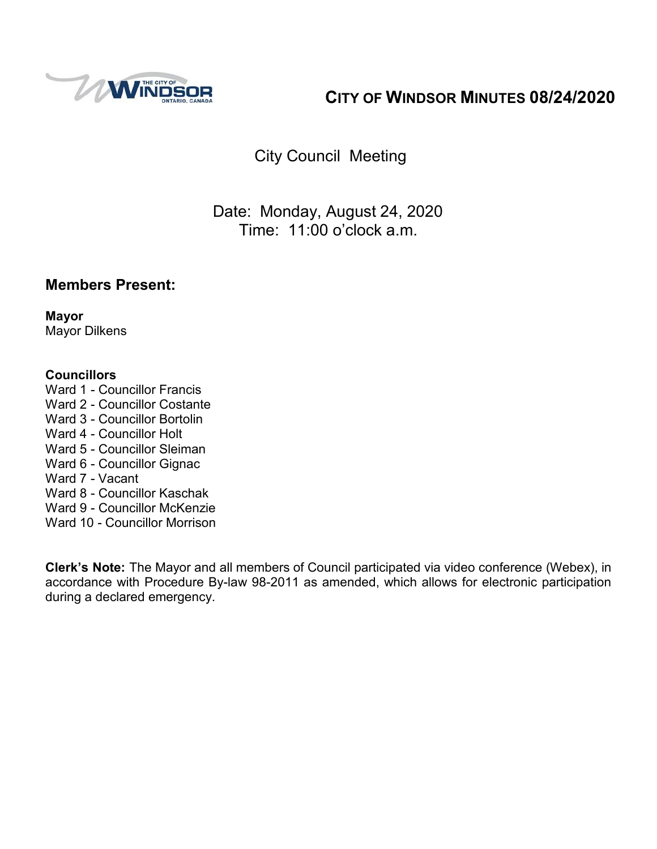

# **CITY OF WINDSOR MINUTES 08/24/2020**

City Council Meeting

Date: Monday, August 24, 2020 Time: 11:00 o'clock a.m.

## **Members Present:**

**Mayor** Mayor Dilkens

### **Councillors**

- Ward 1 Councillor Francis
- Ward 2 Councillor Costante
- Ward 3 Councillor Bortolin
- Ward 4 Councillor Holt
- Ward 5 Councillor Sleiman
- Ward 6 Councillor Gignac
- Ward 7 Vacant
- Ward 8 Councillor Kaschak
- Ward 9 Councillor McKenzie
- Ward 10 Councillor Morrison

**Clerk's Note:** The Mayor and all members of Council participated via video conference (Webex), in accordance with Procedure By-law 98-2011 as amended, which allows for electronic participation during a declared emergency.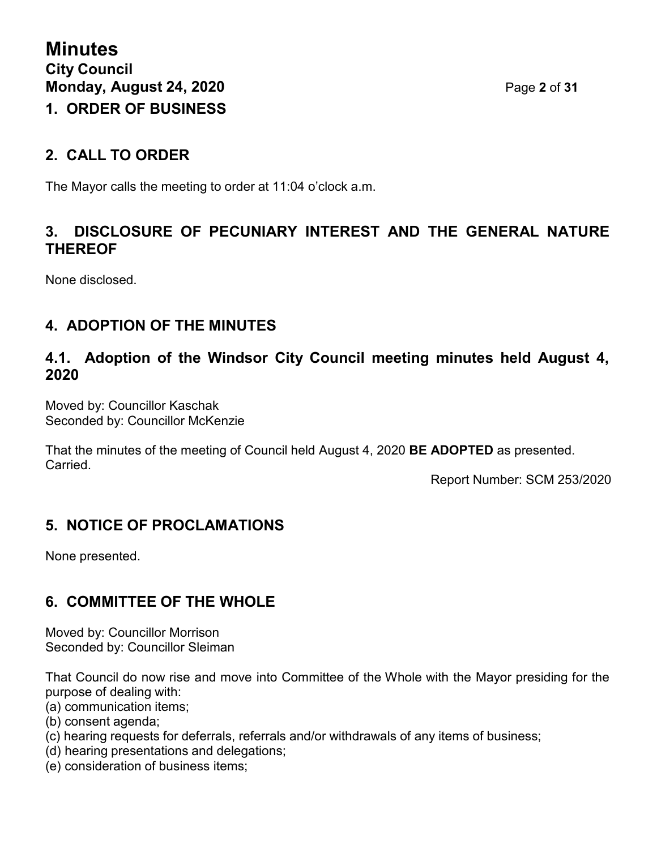# **2. CALL TO ORDER**

The Mayor calls the meeting to order at 11:04 o'clock a.m.

## **3. DISCLOSURE OF PECUNIARY INTEREST AND THE GENERAL NATURE THEREOF**

None disclosed.

# **4. ADOPTION OF THE MINUTES**

## **4.1. Adoption of the Windsor City Council meeting minutes held August 4, 2020**

Moved by: Councillor Kaschak Seconded by: Councillor McKenzie

That the minutes of the meeting of Council held August 4, 2020 **BE ADOPTED** as presented. Carried.

Report Number: SCM 253/2020

# **5. NOTICE OF PROCLAMATIONS**

None presented.

# **6. COMMITTEE OF THE WHOLE**

Moved by: Councillor Morrison Seconded by: Councillor Sleiman

That Council do now rise and move into Committee of the Whole with the Mayor presiding for the purpose of dealing with:

- (a) communication items;
- (b) consent agenda;
- (c) hearing requests for deferrals, referrals and/or withdrawals of any items of business;
- (d) hearing presentations and delegations;
- (e) consideration of business items;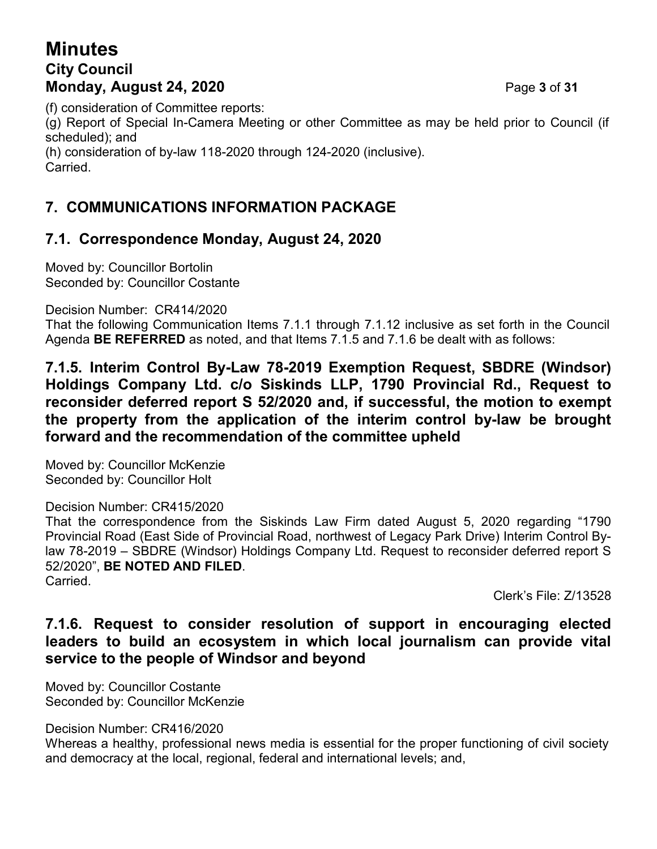# **Minutes City Council Monday, August 24, 2020** Page **3** of **31**

(f) consideration of Committee reports:

(g) Report of Special In-Camera Meeting or other Committee as may be held prior to Council (if scheduled); and

(h) consideration of by-law 118-2020 through 124-2020 (inclusive).

**Carried** 

# **7. COMMUNICATIONS INFORMATION PACKAGE**

# **7.1. Correspondence Monday, August 24, 2020**

Moved by: Councillor Bortolin Seconded by: Councillor Costante

Decision Number: CR414/2020

That the following Communication Items 7.1.1 through 7.1.12 inclusive as set forth in the Council Agenda **BE REFERRED** as noted, and that Items 7.1.5 and 7.1.6 be dealt with as follows:

**7.1.5. Interim Control By-Law 78-2019 Exemption Request, SBDRE (Windsor) Holdings Company Ltd. c/o Siskinds LLP, 1790 Provincial Rd., Request to reconsider deferred report S 52/2020 and, if successful, the motion to exempt the property from the application of the interim control by-law be brought forward and the recommendation of the committee upheld**

Moved by: Councillor McKenzie Seconded by: Councillor Holt

### Decision Number: CR415/2020

That the correspondence from the Siskinds Law Firm dated August 5, 2020 regarding "1790 Provincial Road (East Side of Provincial Road, northwest of Legacy Park Drive) Interim Control Bylaw 78-2019 – SBDRE (Windsor) Holdings Company Ltd. Request to reconsider deferred report S 52/2020", **BE NOTED AND FILED**. Carried.

Clerk's File: Z/13528

## **7.1.6. Request to consider resolution of support in encouraging elected leaders to build an ecosystem in which local journalism can provide vital service to the people of Windsor and beyond**

Moved by: Councillor Costante Seconded by: Councillor McKenzie

Decision Number: CR416/2020

Whereas a healthy, professional news media is essential for the proper functioning of civil society and democracy at the local, regional, federal and international levels; and,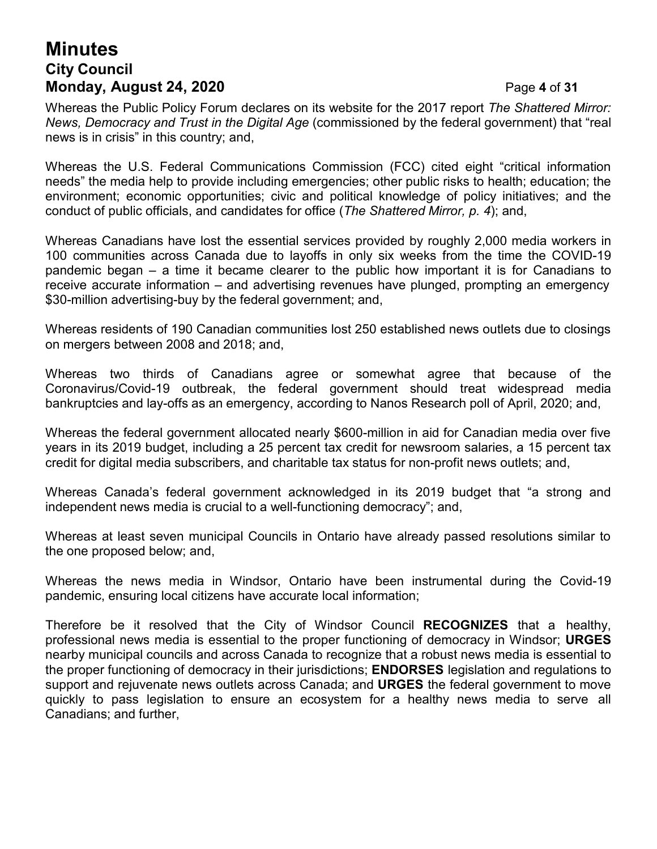# **Minutes City Council Monday, August 24, 2020** Page **4** of **31**

Whereas the Public Policy Forum declares on its website for the 2017 report *The Shattered Mirror: News, Democracy and Trust in the Digital Age* (commissioned by the federal government) that "real news is in crisis" in this country; and,

Whereas the U.S. Federal Communications Commission (FCC) cited eight "critical information needs" the media help to provide including emergencies; other public risks to health; education; the environment; economic opportunities; civic and political knowledge of policy initiatives; and the conduct of public officials, and candidates for office (*The Shattered Mirror, p. 4*); and,

Whereas Canadians have lost the essential services provided by roughly 2,000 media workers in 100 communities across Canada due to layoffs in only six weeks from the time the COVID-19 pandemic began – a time it became clearer to the public how important it is for Canadians to receive accurate information – and advertising revenues have plunged, prompting an emergency \$30-million advertising-buy by the federal government; and,

Whereas residents of 190 Canadian communities lost 250 established news outlets due to closings on mergers between 2008 and 2018; and,

Whereas two thirds of Canadians agree or somewhat agree that because of the Coronavirus/Covid-19 outbreak, the federal government should treat widespread media bankruptcies and lay-offs as an emergency, according to Nanos Research poll of April, 2020; and,

Whereas the federal government allocated nearly \$600-million in aid for Canadian media over five years in its 2019 budget, including a 25 percent tax credit for newsroom salaries, a 15 percent tax credit for digital media subscribers, and charitable tax status for non-profit news outlets; and,

Whereas Canada's federal government acknowledged in its 2019 budget that "a strong and independent news media is crucial to a well-functioning democracy"; and,

Whereas at least seven municipal Councils in Ontario have already passed resolutions similar to the one proposed below; and,

Whereas the news media in Windsor, Ontario have been instrumental during the Covid-19 pandemic, ensuring local citizens have accurate local information;

Therefore be it resolved that the City of Windsor Council **RECOGNIZES** that a healthy, professional news media is essential to the proper functioning of democracy in Windsor; **URGES** nearby municipal councils and across Canada to recognize that a robust news media is essential to the proper functioning of democracy in their jurisdictions; **ENDORSES** legislation and regulations to support and rejuvenate news outlets across Canada; and **URGES** the federal government to move quickly to pass legislation to ensure an ecosystem for a healthy news media to serve all Canadians; and further,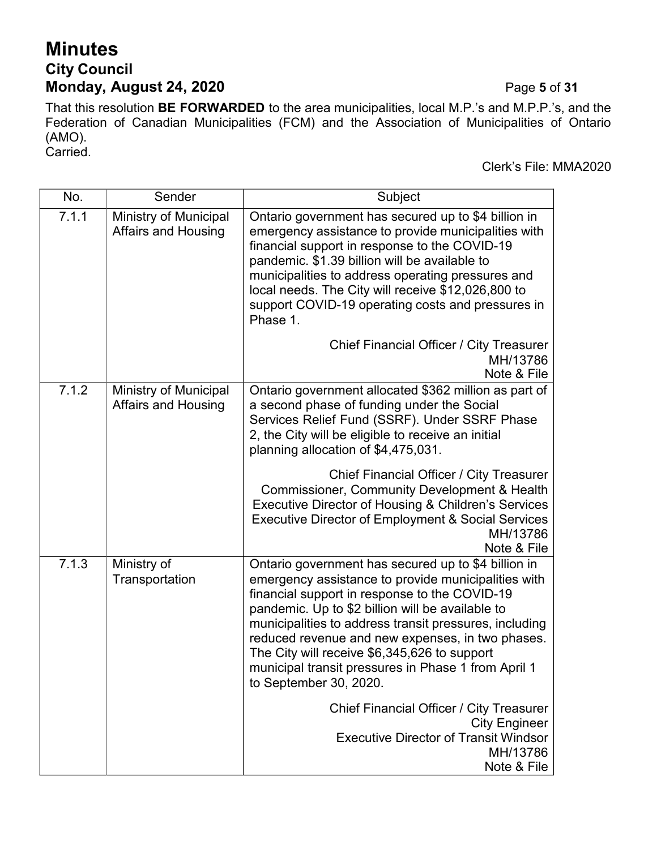# **Minutes City Council Monday, August 24, 2020** Page **5** of **31**

That this resolution **BE FORWARDED** to the area municipalities, local M.P.'s and M.P.P.'s, and the Federation of Canadian Municipalities (FCM) and the Association of Municipalities of Ontario (AMO). Carried.

Clerk's File: MMA2020

| No.   | Sender                                                     | Subject                                                                                                                                                                                                                                                                                                                                                                                                                                                                               |  |
|-------|------------------------------------------------------------|---------------------------------------------------------------------------------------------------------------------------------------------------------------------------------------------------------------------------------------------------------------------------------------------------------------------------------------------------------------------------------------------------------------------------------------------------------------------------------------|--|
| 7.1.1 | <b>Ministry of Municipal</b><br><b>Affairs and Housing</b> | Ontario government has secured up to \$4 billion in<br>emergency assistance to provide municipalities with<br>financial support in response to the COVID-19<br>pandemic. \$1.39 billion will be available to<br>municipalities to address operating pressures and<br>local needs. The City will receive \$12,026,800 to<br>support COVID-19 operating costs and pressures in<br>Phase 1.                                                                                              |  |
|       |                                                            | <b>Chief Financial Officer / City Treasurer</b><br>MH/13786<br>Note & File                                                                                                                                                                                                                                                                                                                                                                                                            |  |
| 7.1.2 | <b>Ministry of Municipal</b><br><b>Affairs and Housing</b> | Ontario government allocated \$362 million as part of<br>a second phase of funding under the Social<br>Services Relief Fund (SSRF). Under SSRF Phase<br>2, the City will be eligible to receive an initial<br>planning allocation of \$4,475,031.<br>Chief Financial Officer / City Treasurer<br>Commissioner, Community Development & Health<br>Executive Director of Housing & Children's Services<br>Executive Director of Employment & Social Services<br>MH/13786<br>Note & File |  |
| 7.1.3 | Ministry of<br>Transportation                              | Ontario government has secured up to \$4 billion in<br>emergency assistance to provide municipalities with<br>financial support in response to the COVID-19<br>pandemic. Up to \$2 billion will be available to<br>municipalities to address transit pressures, including<br>reduced revenue and new expenses, in two phases.<br>The City will receive \$6,345,626 to support<br>municipal transit pressures in Phase 1 from April 1<br>to September 30, 2020.                        |  |
|       |                                                            | Chief Financial Officer / City Treasurer<br><b>City Engineer</b><br><b>Executive Director of Transit Windsor</b><br>MH/13786<br>Note & File                                                                                                                                                                                                                                                                                                                                           |  |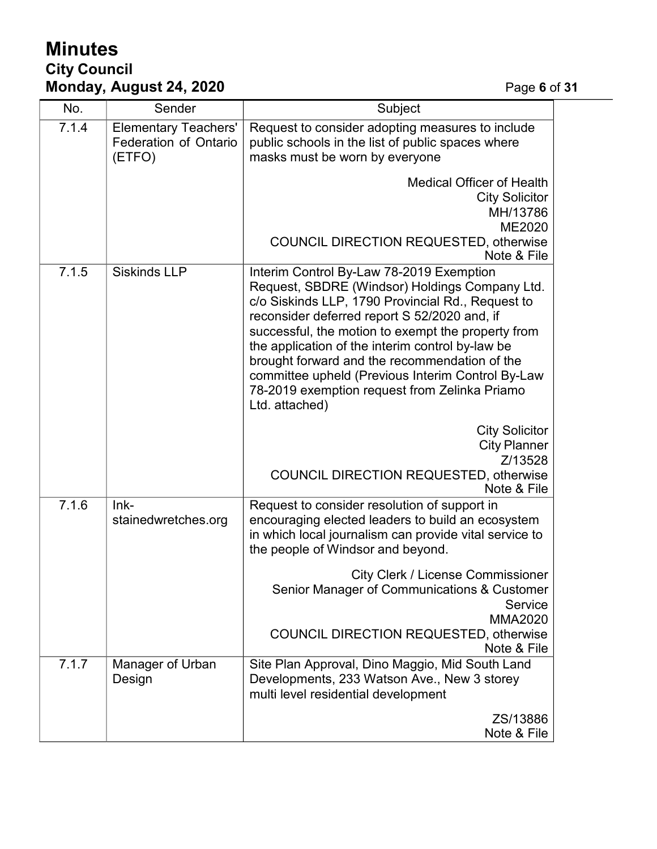# **Minutes City Council Monday, August 24, 2020** Page **6** of **31**

| No.   | Sender                                                                | Subject                                                                                                                                                                                                                                                                                                                                                                                                                                                                            |
|-------|-----------------------------------------------------------------------|------------------------------------------------------------------------------------------------------------------------------------------------------------------------------------------------------------------------------------------------------------------------------------------------------------------------------------------------------------------------------------------------------------------------------------------------------------------------------------|
| 7.1.4 | <b>Elementary Teachers'</b><br><b>Federation of Ontario</b><br>(ETFO) | Request to consider adopting measures to include<br>public schools in the list of public spaces where<br>masks must be worn by everyone                                                                                                                                                                                                                                                                                                                                            |
|       |                                                                       | <b>Medical Officer of Health</b><br><b>City Solicitor</b><br>MH/13786<br>ME2020                                                                                                                                                                                                                                                                                                                                                                                                    |
|       |                                                                       | <b>COUNCIL DIRECTION REQUESTED, otherwise</b><br>Note & File                                                                                                                                                                                                                                                                                                                                                                                                                       |
| 7.1.5 | <b>Siskinds LLP</b>                                                   | Interim Control By-Law 78-2019 Exemption<br>Request, SBDRE (Windsor) Holdings Company Ltd.<br>c/o Siskinds LLP, 1790 Provincial Rd., Request to<br>reconsider deferred report S 52/2020 and, if<br>successful, the motion to exempt the property from<br>the application of the interim control by-law be<br>brought forward and the recommendation of the<br>committee upheld (Previous Interim Control By-Law<br>78-2019 exemption request from Zelinka Priamo<br>Ltd. attached) |
|       |                                                                       | <b>City Solicitor</b><br><b>City Planner</b><br>Z/13528<br><b>COUNCIL DIRECTION REQUESTED, otherwise</b><br>Note & File                                                                                                                                                                                                                                                                                                                                                            |
| 7.1.6 | $lnk-$<br>stainedwretches.org                                         | Request to consider resolution of support in<br>encouraging elected leaders to build an ecosystem<br>in which local journalism can provide vital service to<br>the people of Windsor and beyond.                                                                                                                                                                                                                                                                                   |
|       |                                                                       | <b>City Clerk / License Commissioner</b><br>Senior Manager of Communications & Customer<br>Service<br><b>MMA2020</b>                                                                                                                                                                                                                                                                                                                                                               |
|       |                                                                       | <b>COUNCIL DIRECTION REQUESTED, otherwise</b><br>Note & File                                                                                                                                                                                                                                                                                                                                                                                                                       |
| 7.1.7 | Manager of Urban<br>Design                                            | Site Plan Approval, Dino Maggio, Mid South Land<br>Developments, 233 Watson Ave., New 3 storey<br>multi level residential development                                                                                                                                                                                                                                                                                                                                              |
|       |                                                                       | ZS/13886<br>Note & File                                                                                                                                                                                                                                                                                                                                                                                                                                                            |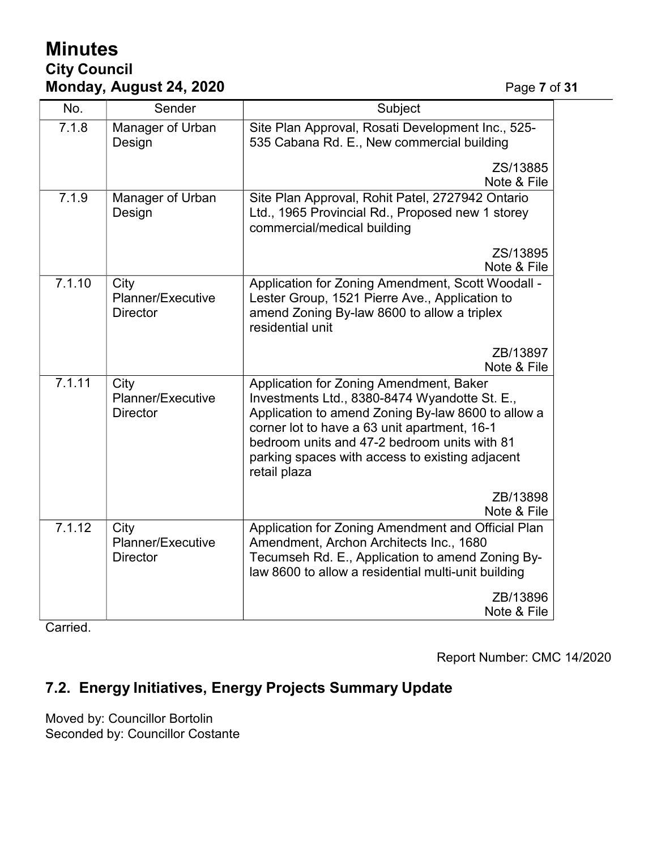# **Minutes City Council Monday, August 24, 2020** Page **7** of **31**

| No.    | Sender                                       | Subject                                                                                                                                                                                                                                                                                                           |  |
|--------|----------------------------------------------|-------------------------------------------------------------------------------------------------------------------------------------------------------------------------------------------------------------------------------------------------------------------------------------------------------------------|--|
| 7.1.8  | Manager of Urban<br>Design                   | Site Plan Approval, Rosati Development Inc., 525-<br>535 Cabana Rd. E., New commercial building                                                                                                                                                                                                                   |  |
|        |                                              | ZS/13885<br>Note & File                                                                                                                                                                                                                                                                                           |  |
| 7.1.9  | Manager of Urban<br>Design                   | Site Plan Approval, Rohit Patel, 2727942 Ontario<br>Ltd., 1965 Provincial Rd., Proposed new 1 storey<br>commercial/medical building                                                                                                                                                                               |  |
|        |                                              | ZS/13895<br>Note & File                                                                                                                                                                                                                                                                                           |  |
| 7.1.10 | City<br>Planner/Executive<br><b>Director</b> | Application for Zoning Amendment, Scott Woodall -<br>Lester Group, 1521 Pierre Ave., Application to<br>amend Zoning By-law 8600 to allow a triplex<br>residential unit                                                                                                                                            |  |
|        |                                              | ZB/13897<br>Note & File                                                                                                                                                                                                                                                                                           |  |
| 7.1.11 | City<br>Planner/Executive<br><b>Director</b> | Application for Zoning Amendment, Baker<br>Investments Ltd., 8380-8474 Wyandotte St. E.,<br>Application to amend Zoning By-law 8600 to allow a<br>corner lot to have a 63 unit apartment, 16-1<br>bedroom units and 47-2 bedroom units with 81<br>parking spaces with access to existing adjacent<br>retail plaza |  |
|        |                                              | ZB/13898<br>Note & File                                                                                                                                                                                                                                                                                           |  |
| 7.1.12 | City<br>Planner/Executive<br><b>Director</b> | Application for Zoning Amendment and Official Plan<br>Amendment, Archon Architects Inc., 1680<br>Tecumseh Rd. E., Application to amend Zoning By-<br>law 8600 to allow a residential multi-unit building                                                                                                          |  |
|        |                                              | ZB/13896<br>Note & File                                                                                                                                                                                                                                                                                           |  |

Carried.

Report Number: CMC 14/2020

# **7.2. Energy Initiatives, Energy Projects Summary Update**

Moved by: Councillor Bortolin Seconded by: Councillor Costante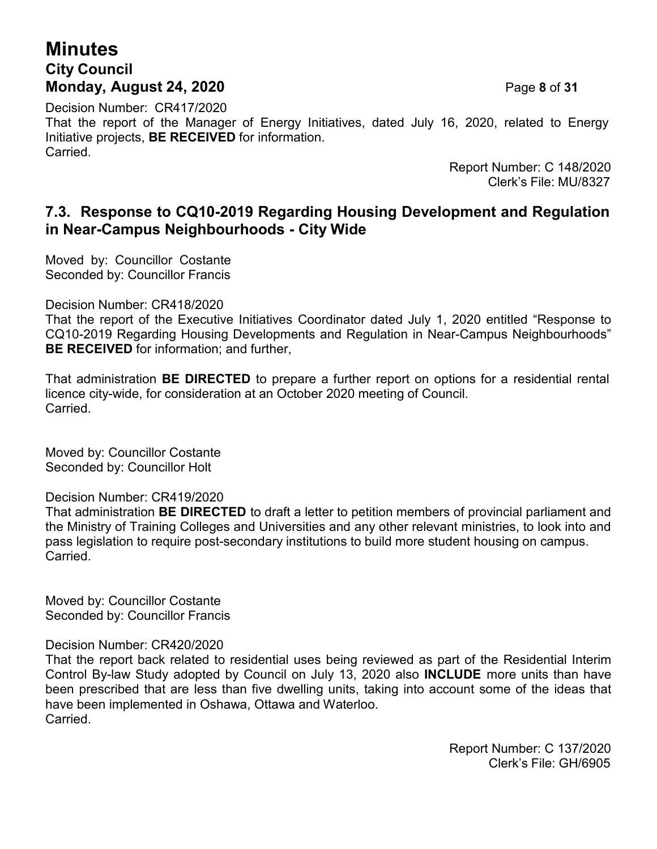# **Minutes City Council Monday, August 24, 2020** Page **8** of **31**

Decision Number: CR417/2020 That the report of the Manager of Energy Initiatives, dated July 16, 2020, related to Energy Initiative projects, **BE RECEIVED** for information. Carried.

Report Number: C 148/2020 Clerk's File: MU/8327

## **7.3. Response to CQ10-2019 Regarding Housing Development and Regulation in Near-Campus Neighbourhoods - City Wide**

Moved by: Councillor Costante Seconded by: Councillor Francis

Decision Number: CR418/2020

That the report of the Executive Initiatives Coordinator dated July 1, 2020 entitled "Response to CQ10-2019 Regarding Housing Developments and Regulation in Near-Campus Neighbourhoods" **BE RECEIVED** for information; and further,

That administration **BE DIRECTED** to prepare a further report on options for a residential rental licence city-wide, for consideration at an October 2020 meeting of Council. Carried.

Moved by: Councillor Costante Seconded by: Councillor Holt

Decision Number: CR419/2020

That administration **BE DIRECTED** to draft a letter to petition members of provincial parliament and the Ministry of Training Colleges and Universities and any other relevant ministries, to look into and pass legislation to require post-secondary institutions to build more student housing on campus. **Carried** 

Moved by: Councillor Costante Seconded by: Councillor Francis

#### Decision Number: CR420/2020

That the report back related to residential uses being reviewed as part of the Residential Interim Control By-law Study adopted by Council on July 13, 2020 also **INCLUDE** more units than have been prescribed that are less than five dwelling units, taking into account some of the ideas that have been implemented in Oshawa, Ottawa and Waterloo. Carried.

> Report Number: C 137/2020 Clerk's File: GH/6905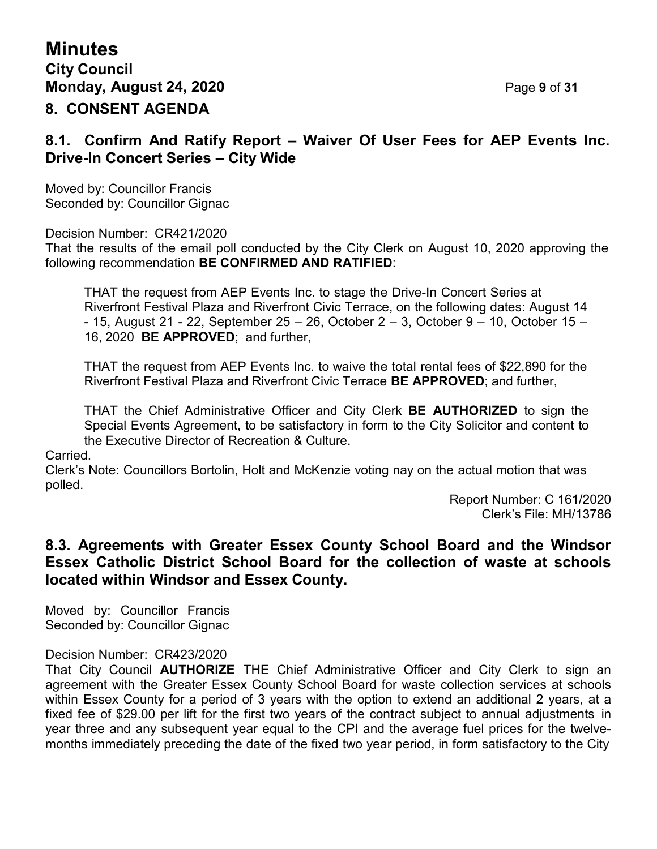## **8.1. Confirm And Ratify Report – Waiver Of User Fees for AEP Events Inc. Drive-In Concert Series – City Wide**

Moved by: Councillor Francis Seconded by: Councillor Gignac

Decision Number: CR421/2020

That the results of the email poll conducted by the City Clerk on August 10, 2020 approving the following recommendation **BE CONFIRMED AND RATIFIED**:

THAT the request from AEP Events Inc. to stage the Drive-In Concert Series at Riverfront Festival Plaza and Riverfront Civic Terrace, on the following dates: August 14 - 15, August 21 - 22, September 25 – 26, October 2 – 3, October 9 – 10, October 15 – 16, 2020 **BE APPROVED**; and further,

THAT the request from AEP Events Inc. to waive the total rental fees of \$22,890 for the Riverfront Festival Plaza and Riverfront Civic Terrace **BE APPROVED**; and further,

THAT the Chief Administrative Officer and City Clerk **BE AUTHORIZED** to sign the Special Events Agreement, to be satisfactory in form to the City Solicitor and content to the Executive Director of Recreation & Culture.

Carried.

Clerk's Note: Councillors Bortolin, Holt and McKenzie voting nay on the actual motion that was polled.

> Report Number: C 161/2020 Clerk's File: MH/13786

## **8.3. Agreements with Greater Essex County School Board and the Windsor Essex Catholic District School Board for the collection of waste at schools located within Windsor and Essex County.**

Moved by: Councillor Francis Seconded by: Councillor Gignac

#### Decision Number: CR423/2020

That City Council **AUTHORIZE** THE Chief Administrative Officer and City Clerk to sign an agreement with the Greater Essex County School Board for waste collection services at schools within Essex County for a period of 3 years with the option to extend an additional 2 years, at a fixed fee of \$29.00 per lift for the first two years of the contract subject to annual adjustments in year three and any subsequent year equal to the CPI and the average fuel prices for the twelvemonths immediately preceding the date of the fixed two year period, in form satisfactory to the City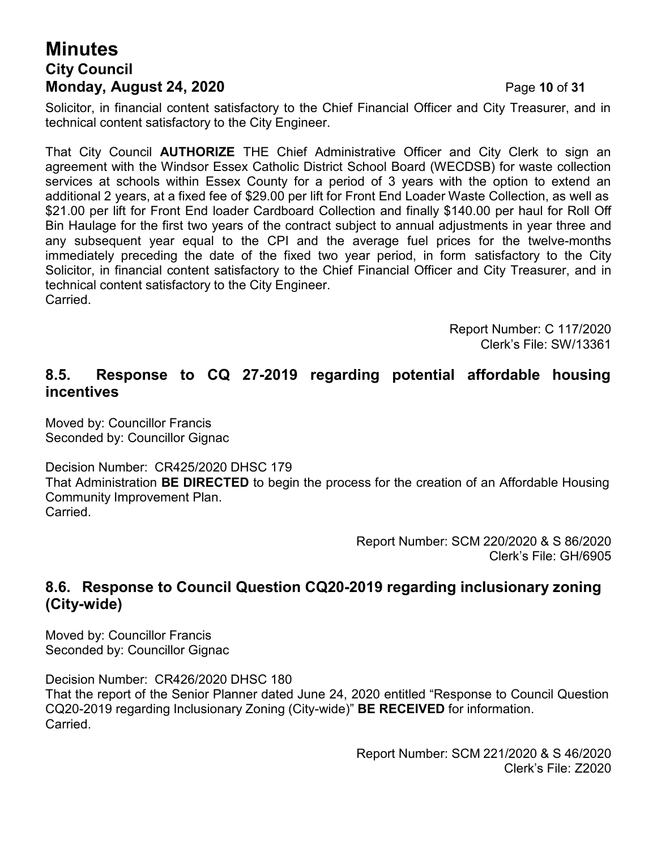# **Minutes City Council Monday, August 24, 2020** Page **10** of **31**

Solicitor, in financial content satisfactory to the Chief Financial Officer and City Treasurer, and in technical content satisfactory to the City Engineer.

That City Council **AUTHORIZE** THE Chief Administrative Officer and City Clerk to sign an agreement with the Windsor Essex Catholic District School Board (WECDSB) for waste collection services at schools within Essex County for a period of 3 years with the option to extend an additional 2 years, at a fixed fee of \$29.00 per lift for Front End Loader Waste Collection, as well as \$21.00 per lift for Front End loader Cardboard Collection and finally \$140.00 per haul for Roll Off Bin Haulage for the first two years of the contract subject to annual adjustments in year three and any subsequent year equal to the CPI and the average fuel prices for the twelve-months immediately preceding the date of the fixed two year period, in form satisfactory to the City Solicitor, in financial content satisfactory to the Chief Financial Officer and City Treasurer, and in technical content satisfactory to the City Engineer. Carried.

> Report Number: C 117/2020 Clerk's File: SW/13361

## **8.5. Response to CQ 27-2019 regarding potential affordable housing incentives**

Moved by: Councillor Francis Seconded by: Councillor Gignac

Decision Number: CR425/2020 DHSC 179

That Administration **BE DIRECTED** to begin the process for the creation of an Affordable Housing Community Improvement Plan. Carried.

> Report Number: SCM 220/2020 & S 86/2020 Clerk's File: GH/6905

## **8.6. Response to Council Question CQ20-2019 regarding inclusionary zoning (City-wide)**

Moved by: Councillor Francis Seconded by: Councillor Gignac

Decision Number: CR426/2020 DHSC 180 That the report of the Senior Planner dated June 24, 2020 entitled "Response to Council Question CQ20-2019 regarding Inclusionary Zoning (City-wide)" **BE RECEIVED** for information. Carried.

> Report Number: SCM 221/2020 & S 46/2020 Clerk's File: Z2020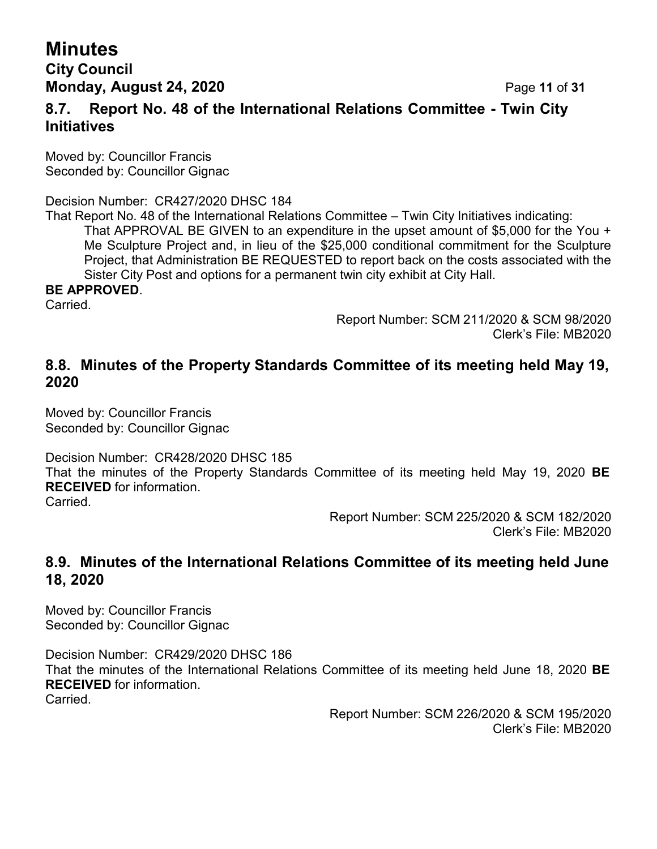# **Minutes**

## **City Council Monday, August 24, 2020 Page 11 of 31**

## **8.7. Report No. 48 of the International Relations Committee - Twin City Initiatives**

Moved by: Councillor Francis Seconded by: Councillor Gignac

Decision Number: CR427/2020 DHSC 184

That Report No. 48 of the International Relations Committee – Twin City Initiatives indicating: That APPROVAL BE GIVEN to an expenditure in the upset amount of \$5,000 for the You + Me Sculpture Project and, in lieu of the \$25,000 conditional commitment for the Sculpture Project, that Administration BE REQUESTED to report back on the costs associated with the Sister City Post and options for a permanent twin city exhibit at City Hall.

### **BE APPROVED**.

Carried.

Report Number: SCM 211/2020 & SCM 98/2020 Clerk's File: MB2020

## **8.8. Minutes of the Property Standards Committee of its meeting held May 19, 2020**

Moved by: Councillor Francis Seconded by: Councillor Gignac

Decision Number: CR428/2020 DHSC 185

That the minutes of the Property Standards Committee of its meeting held May 19, 2020 **BE RECEIVED** for information.

Carried.

Report Number: SCM 225/2020 & SCM 182/2020 Clerk's File: MB2020

## **8.9. Minutes of the International Relations Committee of its meeting held June 18, 2020**

Moved by: Councillor Francis Seconded by: Councillor Gignac

Decision Number: CR429/2020 DHSC 186 That the minutes of the International Relations Committee of its meeting held June 18, 2020 **BE RECEIVED** for information. **Carried** 

> Report Number: SCM 226/2020 & SCM 195/2020 Clerk's File: MB2020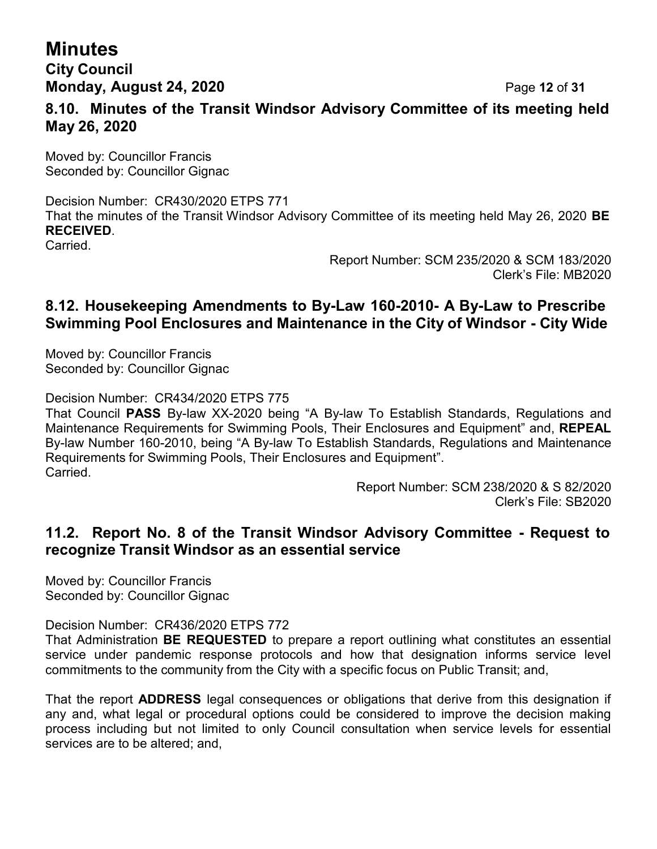# **Minutes**

## **City Council Monday, August 24, 2020** Page **12** of **31**

**8.10. Minutes of the Transit Windsor Advisory Committee of its meeting held May 26, 2020**

Moved by: Councillor Francis Seconded by: Councillor Gignac

Decision Number: CR430/2020 ETPS 771 That the minutes of the Transit Windsor Advisory Committee of its meeting held May 26, 2020 **BE RECEIVED**.

Carried.

Report Number: SCM 235/2020 & SCM 183/2020 Clerk's File: MB2020

## **8.12. Housekeeping Amendments to By-Law 160-2010- A By-Law to Prescribe Swimming Pool Enclosures and Maintenance in the City of Windsor - City Wide**

Moved by: Councillor Francis Seconded by: Councillor Gignac

Decision Number: CR434/2020 ETPS 775

That Council **PASS** By-law XX-2020 being "A By-law To Establish Standards, Regulations and Maintenance Requirements for Swimming Pools, Their Enclosures and Equipment" and, **REPEAL** By-law Number 160-2010, being "A By-law To Establish Standards, Regulations and Maintenance Requirements for Swimming Pools, Their Enclosures and Equipment". Carried.

> Report Number: SCM 238/2020 & S 82/2020 Clerk's File: SB2020

## **11.2. Report No. 8 of the Transit Windsor Advisory Committee - Request to recognize Transit Windsor as an essential service**

Moved by: Councillor Francis Seconded by: Councillor Gignac

Decision Number: CR436/2020 ETPS 772

That Administration **BE REQUESTED** to prepare a report outlining what constitutes an essential service under pandemic response protocols and how that designation informs service level commitments to the community from the City with a specific focus on Public Transit; and,

That the report **ADDRESS** legal consequences or obligations that derive from this designation if any and, what legal or procedural options could be considered to improve the decision making process including but not limited to only Council consultation when service levels for essential services are to be altered; and,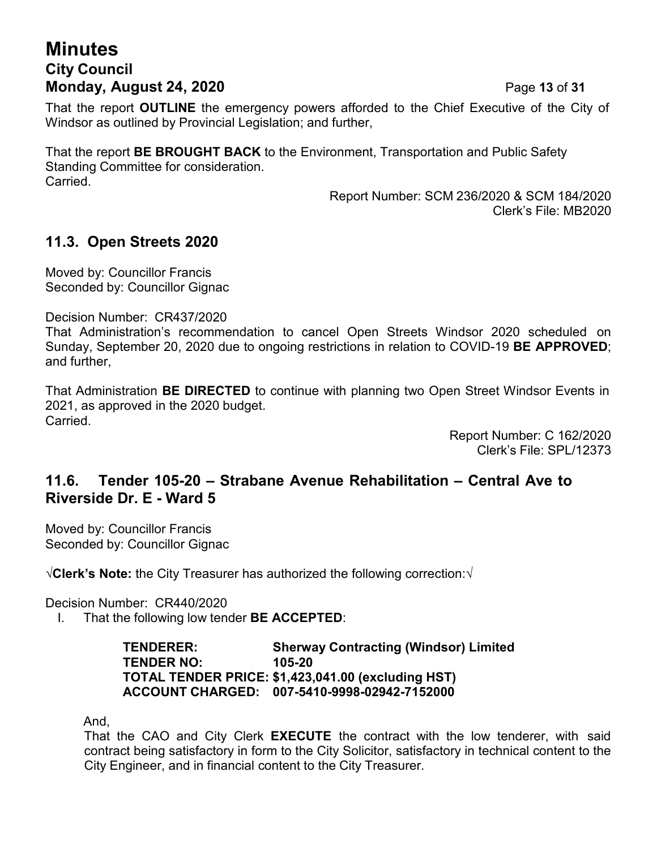# **Minutes City Council Monday, August 24, 2020** Page **13** of **31**

That the report **OUTLINE** the emergency powers afforded to the Chief Executive of the City of Windsor as outlined by Provincial Legislation; and further,

That the report **BE BROUGHT BACK** to the Environment, Transportation and Public Safety Standing Committee for consideration. Carried.

> Report Number: SCM 236/2020 & SCM 184/2020 Clerk's File: MB2020

## **11.3. Open Streets 2020**

Moved by: Councillor Francis Seconded by: Councillor Gignac

Decision Number: CR437/2020

That Administration's recommendation to cancel Open Streets Windsor 2020 scheduled on Sunday, September 20, 2020 due to ongoing restrictions in relation to COVID-19 **BE APPROVED**; and further,

That Administration **BE DIRECTED** to continue with planning two Open Street Windsor Events in 2021, as approved in the 2020 budget. Carried.

> Report Number: C 162/2020 Clerk's File: SPL/12373

## **11.6. Tender 105-20 – Strabane Avenue Rehabilitation – Central Ave to Riverside Dr. E - Ward 5**

Moved by: Councillor Francis Seconded by: Councillor Gignac

√**Clerk's Note:** the City Treasurer has authorized the following correction:√

Decision Number: CR440/2020

I. That the following low tender **BE ACCEPTED**:

**TENDERER: Sherway Contracting (Windsor) Limited TENDER NO: 105-20 TOTAL TENDER PRICE: \$1,423,041.00 (excluding HST) ACCOUNT CHARGED: 007-5410-9998-02942-7152000**

And,

That the CAO and City Clerk **EXECUTE** the contract with the low tenderer, with said contract being satisfactory in form to the City Solicitor, satisfactory in technical content to the City Engineer, and in financial content to the City Treasurer.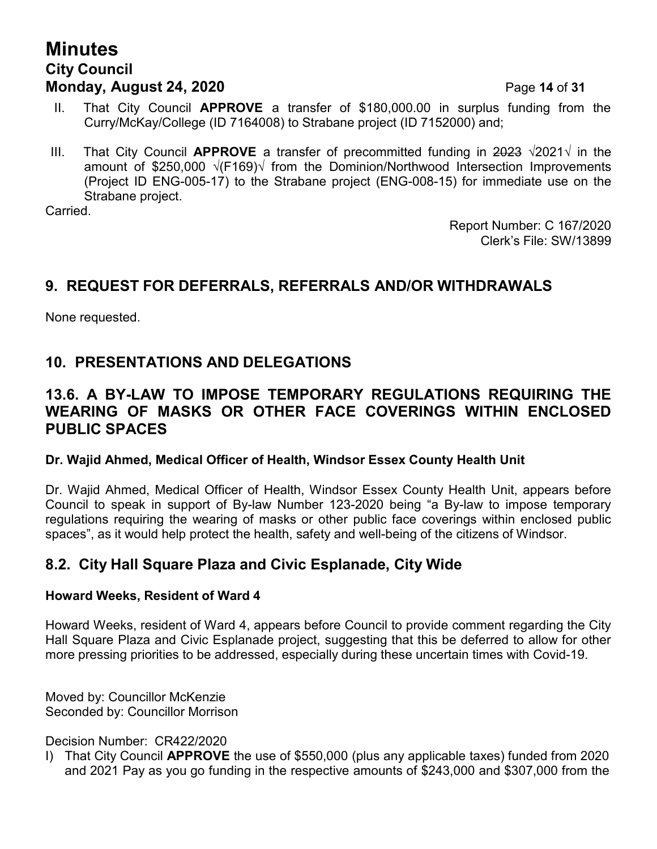# **Minutes City Council Monday, August 24, 2020** Page **14** of **31**

- II. That City Council **APPROVE** a transfer of \$180,000.00 in surplus funding from the Curry/McKay/College (ID 7164008) to Strabane project (ID 7152000) and;
- III. That City Council **APPROVE** a transfer of precommitted funding in 2023 √2021√ in the amount of \$250,000 √(F169)√ from the Dominion/Northwood Intersection Improvements (Project ID ENG-005-17) to the Strabane project (ENG-008-15) for immediate use on the Strabane project.

Carried.

Report Number: C 167/2020 Clerk's File: SW/13899

## **9. REQUEST FOR DEFERRALS, REFERRALS AND/OR WITHDRAWALS**

None requested.

## **10. PRESENTATIONS AND DELEGATIONS**

## **13.6. A BY-LAW TO IMPOSE TEMPORARY REGULATIONS REQUIRING THE WEARING OF MASKS OR OTHER FACE COVERINGS WITHIN ENCLOSED PUBLIC SPACES**

### **Dr. Wajid Ahmed, Medical Officer of Health, Windsor Essex County Health Unit**

Dr. Wajid Ahmed, Medical Officer of Health, Windsor Essex County Health Unit, appears before Council to speak in support of By-law Number 123-2020 being "a By-law to impose temporary regulations requiring the wearing of masks or other public face coverings within enclosed public spaces", as it would help protect the health, safety and well-being of the citizens of Windsor.

## **8.2. City Hall Square Plaza and Civic Esplanade, City Wide**

#### **Howard Weeks, Resident of Ward 4**

Howard Weeks, resident of Ward 4, appears before Council to provide comment regarding the City Hall Square Plaza and Civic Esplanade project, suggesting that this be deferred to allow for other more pressing priorities to be addressed, especially during these uncertain times with Covid-19.

Moved by: Councillor McKenzie Seconded by: Councillor Morrison

Decision Number: CR422/2020

I) That City Council **APPROVE** the use of \$550,000 (plus any applicable taxes) funded from 2020 and 2021 Pay as you go funding in the respective amounts of \$243,000 and \$307,000 from the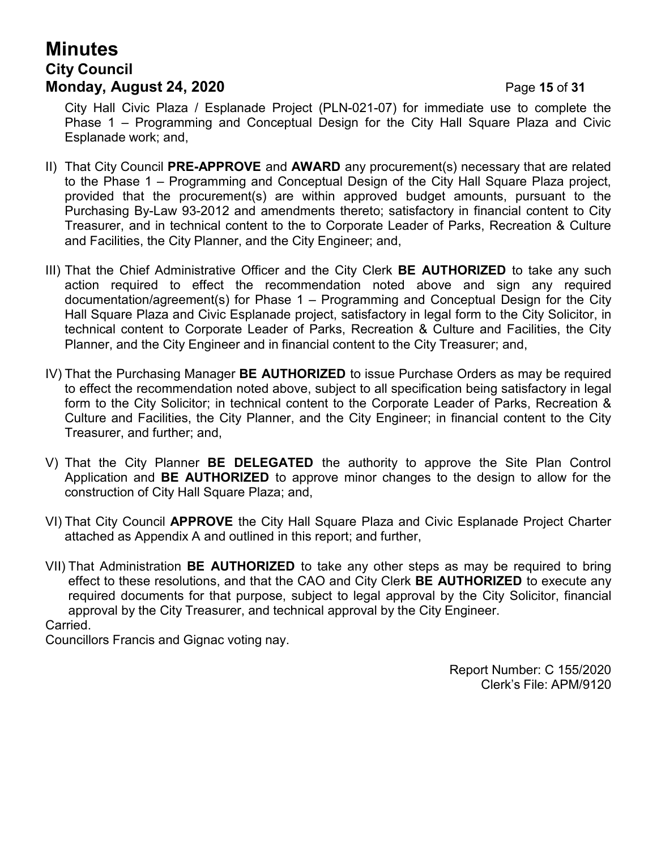# **Minutes City Council Monday, August 24, 2020 Page 15 of 31**

City Hall Civic Plaza / Esplanade Project (PLN-021-07) for immediate use to complete the Phase 1 – Programming and Conceptual Design for the City Hall Square Plaza and Civic Esplanade work; and,

- II) That City Council **PRE-APPROVE** and **AWARD** any procurement(s) necessary that are related to the Phase 1 – Programming and Conceptual Design of the City Hall Square Plaza project, provided that the procurement(s) are within approved budget amounts, pursuant to the Purchasing By-Law 93-2012 and amendments thereto; satisfactory in financial content to City Treasurer, and in technical content to the to Corporate Leader of Parks, Recreation & Culture and Facilities, the City Planner, and the City Engineer; and,
- III) That the Chief Administrative Officer and the City Clerk **BE AUTHORIZED** to take any such action required to effect the recommendation noted above and sign any required documentation/agreement(s) for Phase 1 – Programming and Conceptual Design for the City Hall Square Plaza and Civic Esplanade project, satisfactory in legal form to the City Solicitor, in technical content to Corporate Leader of Parks, Recreation & Culture and Facilities, the City Planner, and the City Engineer and in financial content to the City Treasurer; and,
- IV) That the Purchasing Manager **BE AUTHORIZED** to issue Purchase Orders as may be required to effect the recommendation noted above, subject to all specification being satisfactory in legal form to the City Solicitor; in technical content to the Corporate Leader of Parks, Recreation & Culture and Facilities, the City Planner, and the City Engineer; in financial content to the City Treasurer, and further; and,
- V) That the City Planner **BE DELEGATED** the authority to approve the Site Plan Control Application and **BE AUTHORIZED** to approve minor changes to the design to allow for the construction of City Hall Square Plaza; and,
- VI) That City Council **APPROVE** the City Hall Square Plaza and Civic Esplanade Project Charter attached as Appendix A and outlined in this report; and further,
- VII) That Administration **BE AUTHORIZED** to take any other steps as may be required to bring effect to these resolutions, and that the CAO and City Clerk **BE AUTHORIZED** to execute any required documents for that purpose, subject to legal approval by the City Solicitor, financial approval by the City Treasurer, and technical approval by the City Engineer. Carried.

Councillors Francis and Gignac voting nay.

Report Number: C 155/2020 Clerk's File: APM/9120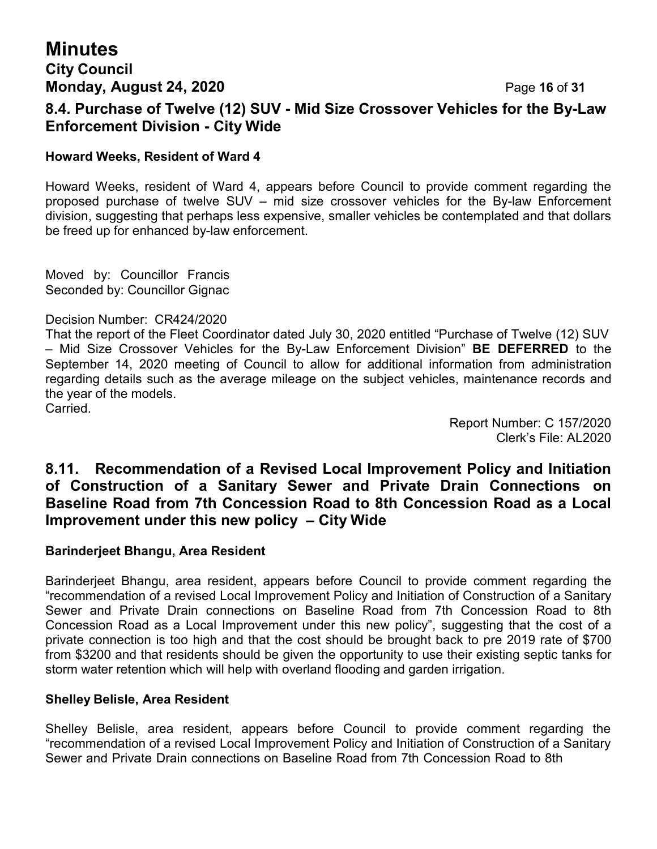# **Minutes**

# **City Council Monday, August 24, 2020** Page **16** of **31 8.4. Purchase of Twelve (12) SUV - Mid Size Crossover Vehicles for the By-Law Enforcement Division - City Wide**

### **Howard Weeks, Resident of Ward 4**

Howard Weeks, resident of Ward 4, appears before Council to provide comment regarding the proposed purchase of twelve SUV – mid size crossover vehicles for the By-law Enforcement division, suggesting that perhaps less expensive, smaller vehicles be contemplated and that dollars be freed up for enhanced by-law enforcement.

Moved by: Councillor Francis Seconded by: Councillor Gignac

#### Decision Number: CR424/2020

That the report of the Fleet Coordinator dated July 30, 2020 entitled "Purchase of Twelve (12) SUV – Mid Size Crossover Vehicles for the By-Law Enforcement Division" **BE DEFERRED** to the September 14, 2020 meeting of Council to allow for additional information from administration regarding details such as the average mileage on the subject vehicles, maintenance records and the year of the models.

Carried.

Report Number: C 157/2020 Clerk's File: AL2020

## **8.11. Recommendation of a Revised Local Improvement Policy and Initiation of Construction of a Sanitary Sewer and Private Drain Connections on Baseline Road from 7th Concession Road to 8th Concession Road as a Local Improvement under this new policy – City Wide**

### **Barinderjeet Bhangu, Area Resident**

Barinderjeet Bhangu, area resident, appears before Council to provide comment regarding the "recommendation of a revised Local Improvement Policy and Initiation of Construction of a Sanitary Sewer and Private Drain connections on Baseline Road from 7th Concession Road to 8th Concession Road as a Local Improvement under this new policy", suggesting that the cost of a private connection is too high and that the cost should be brought back to pre 2019 rate of \$700 from \$3200 and that residents should be given the opportunity to use their existing septic tanks for storm water retention which will help with overland flooding and garden irrigation.

#### **Shelley Belisle, Area Resident**

Shelley Belisle, area resident, appears before Council to provide comment regarding the "recommendation of a revised Local Improvement Policy and Initiation of Construction of a Sanitary Sewer and Private Drain connections on Baseline Road from 7th Concession Road to 8th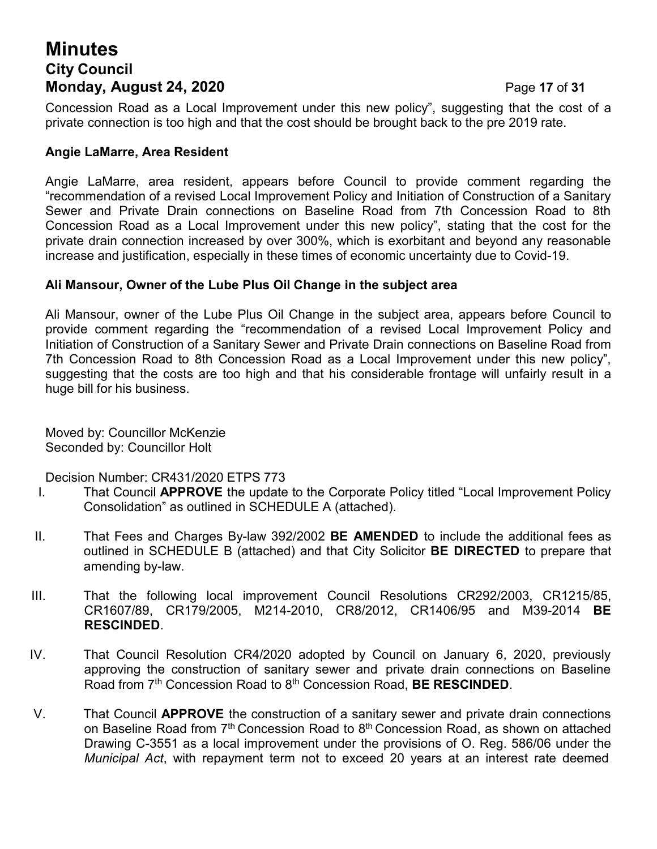# **Minutes City Council Monday, August 24, 2020 Page 17 of 31**

Concession Road as a Local Improvement under this new policy", suggesting that the cost of a private connection is too high and that the cost should be brought back to the pre 2019 rate.

#### **Angie LaMarre, Area Resident**

Angie LaMarre, area resident, appears before Council to provide comment regarding the "recommendation of a revised Local Improvement Policy and Initiation of Construction of a Sanitary Sewer and Private Drain connections on Baseline Road from 7th Concession Road to 8th Concession Road as a Local Improvement under this new policy", stating that the cost for the private drain connection increased by over 300%, which is exorbitant and beyond any reasonable increase and justification, especially in these times of economic uncertainty due to Covid-19.

#### **Ali Mansour, Owner of the Lube Plus Oil Change in the subject area**

Ali Mansour, owner of the Lube Plus Oil Change in the subject area, appears before Council to provide comment regarding the "recommendation of a revised Local Improvement Policy and Initiation of Construction of a Sanitary Sewer and Private Drain connections on Baseline Road from 7th Concession Road to 8th Concession Road as a Local Improvement under this new policy", suggesting that the costs are too high and that his considerable frontage will unfairly result in a huge bill for his business.

Moved by: Councillor McKenzie Seconded by: Councillor Holt

Decision Number: CR431/2020 ETPS 773

- I. That Council **APPROVE** the update to the Corporate Policy titled "Local Improvement Policy Consolidation" as outlined in SCHEDULE A (attached).
- II. That Fees and Charges By-law 392/2002 **BE AMENDED** to include the additional fees as outlined in SCHEDULE B (attached) and that City Solicitor **BE DIRECTED** to prepare that amending by-law.
- III. That the following local improvement Council Resolutions CR292/2003, CR1215/85, CR1607/89, CR179/2005, M214-2010, CR8/2012, CR1406/95 and M39-2014 **BE RESCINDED**.
- IV. That Council Resolution CR4/2020 adopted by Council on January 6, 2020, previously approving the construction of sanitary sewer and private drain connections on Baseline Road from 7 th Concession Road to 8th Concession Road, **BE RESCINDED**.
- V. That Council **APPROVE** the construction of a sanitary sewer and private drain connections on Baseline Road from 7<sup>th</sup> Concession Road to 8<sup>th</sup> Concession Road, as shown on attached Drawing C-3551 as a local improvement under the provisions of O. Reg. 586/06 under the *Municipal Act*, with repayment term not to exceed 20 years at an interest rate deemed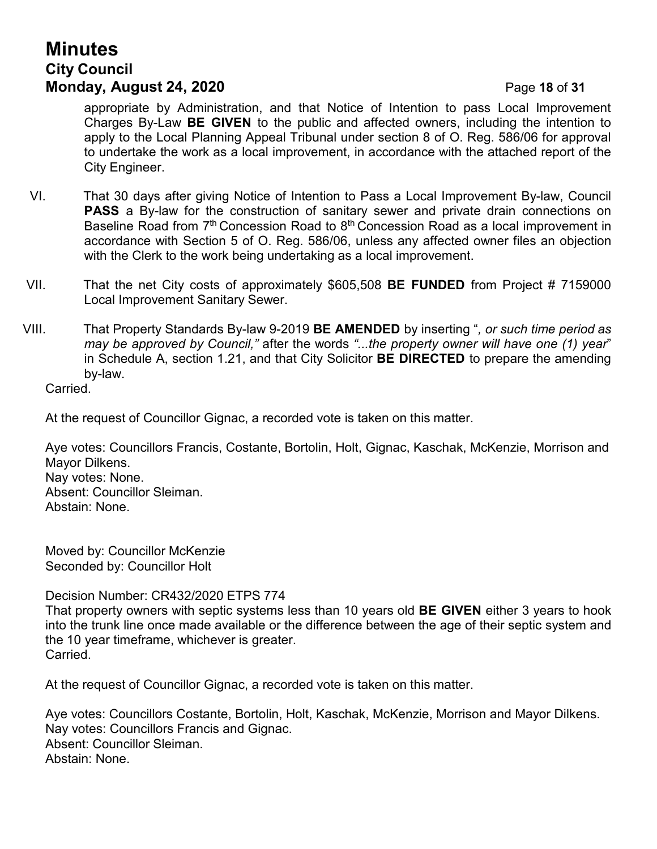# **Minutes City Council Monday, August 24, 2020** Page **18** of **31**

appropriate by Administration, and that Notice of Intention to pass Local Improvement Charges By-Law **BE GIVEN** to the public and affected owners, including the intention to apply to the Local Planning Appeal Tribunal under section 8 of O. Reg. 586/06 for approval to undertake the work as a local improvement, in accordance with the attached report of the City Engineer.

- VI. That 30 days after giving Notice of Intention to Pass a Local Improvement By-law, Council **PASS** a By-law for the construction of sanitary sewer and private drain connections on Baseline Road from  $7<sup>th</sup>$  Concession Road to  $8<sup>th</sup>$  Concession Road as a local improvement in accordance with Section 5 of O. Reg. 586/06, unless any affected owner files an objection with the Clerk to the work being undertaking as a local improvement.
- VII. That the net City costs of approximately \$605,508 **BE FUNDED** from Project # 7159000 Local Improvement Sanitary Sewer.
- VIII. That Property Standards By-law 9-2019 **BE AMENDED** by inserting "*, or such time period as may be approved by Council,"* after the words *"...the property owner will have one (1) year*" in Schedule A, section 1.21, and that City Solicitor **BE DIRECTED** to prepare the amending by-law.

Carried.

At the request of Councillor Gignac, a recorded vote is taken on this matter.

Aye votes: Councillors Francis, Costante, Bortolin, Holt, Gignac, Kaschak, McKenzie, Morrison and Mayor Dilkens. Nay votes: None. Absent: Councillor Sleiman. Abstain: None.

Moved by: Councillor McKenzie Seconded by: Councillor Holt

Decision Number: CR432/2020 ETPS 774

That property owners with septic systems less than 10 years old **BE GIVEN** either 3 years to hook into the trunk line once made available or the difference between the age of their septic system and the 10 year timeframe, whichever is greater. Carried.

At the request of Councillor Gignac, a recorded vote is taken on this matter.

Aye votes: Councillors Costante, Bortolin, Holt, Kaschak, McKenzie, Morrison and Mayor Dilkens. Nay votes: Councillors Francis and Gignac. Absent: Councillor Sleiman. Abstain: None.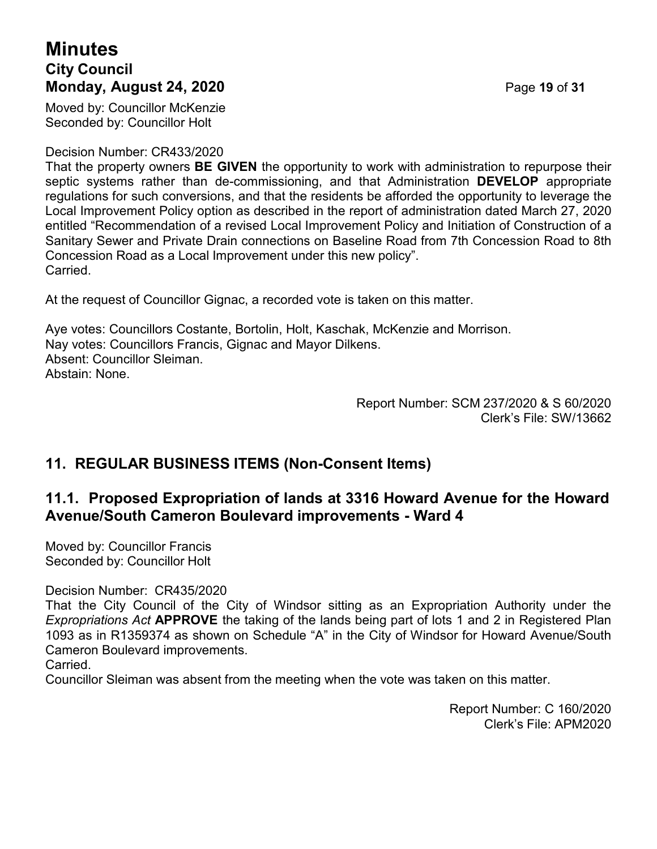# **Minutes City Council Monday, August 24, 2020 Page 19 of 31**

Moved by: Councillor McKenzie Seconded by: Councillor Holt

#### Decision Number: CR433/2020

That the property owners **BE GIVEN** the opportunity to work with administration to repurpose their septic systems rather than de-commissioning, and that Administration **DEVELOP** appropriate regulations for such conversions, and that the residents be afforded the opportunity to leverage the Local Improvement Policy option as described in the report of administration dated March 27, 2020 entitled "Recommendation of a revised Local Improvement Policy and Initiation of Construction of a Sanitary Sewer and Private Drain connections on Baseline Road from 7th Concession Road to 8th Concession Road as a Local Improvement under this new policy". Carried.

At the request of Councillor Gignac, a recorded vote is taken on this matter.

Aye votes: Councillors Costante, Bortolin, Holt, Kaschak, McKenzie and Morrison. Nay votes: Councillors Francis, Gignac and Mayor Dilkens. Absent: Councillor Sleiman. Abstain: None.

> Report Number: SCM 237/2020 & S 60/2020 Clerk's File: SW/13662

# **11. REGULAR BUSINESS ITEMS (Non-Consent Items)**

## **11.1. Proposed Expropriation of lands at 3316 Howard Avenue for the Howard Avenue/South Cameron Boulevard improvements - Ward 4**

Moved by: Councillor Francis Seconded by: Councillor Holt

Decision Number: CR435/2020

That the City Council of the City of Windsor sitting as an Expropriation Authority under the *Expropriations Act* **APPROVE** the taking of the lands being part of lots 1 and 2 in Registered Plan 1093 as in R1359374 as shown on Schedule "A" in the City of Windsor for Howard Avenue/South Cameron Boulevard improvements.

Carried.

Councillor Sleiman was absent from the meeting when the vote was taken on this matter.

Report Number: C 160/2020 Clerk's File: APM2020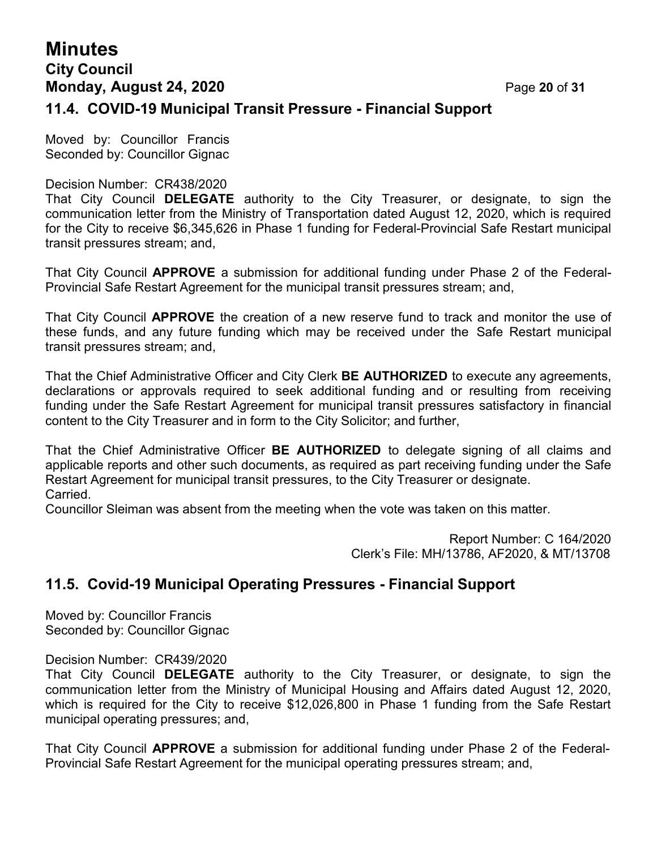# **Minutes City Council Monday, August 24, 2020 Page 20 of 31 11.4. COVID-19 Municipal Transit Pressure - Financial Support**

Moved by: Councillor Francis Seconded by: Councillor Gignac

#### Decision Number: CR438/2020

That City Council **DELEGATE** authority to the City Treasurer, or designate, to sign the communication letter from the Ministry of Transportation dated August 12, 2020, which is required for the City to receive \$6,345,626 in Phase 1 funding for Federal-Provincial Safe Restart municipal transit pressures stream; and,

That City Council **APPROVE** a submission for additional funding under Phase 2 of the Federal-Provincial Safe Restart Agreement for the municipal transit pressures stream; and,

That City Council **APPROVE** the creation of a new reserve fund to track and monitor the use of these funds, and any future funding which may be received under the Safe Restart municipal transit pressures stream; and,

That the Chief Administrative Officer and City Clerk **BE AUTHORIZED** to execute any agreements, declarations or approvals required to seek additional funding and or resulting from receiving funding under the Safe Restart Agreement for municipal transit pressures satisfactory in financial content to the City Treasurer and in form to the City Solicitor; and further,

That the Chief Administrative Officer **BE AUTHORIZED** to delegate signing of all claims and applicable reports and other such documents, as required as part receiving funding under the Safe Restart Agreement for municipal transit pressures, to the City Treasurer or designate. Carried.

Councillor Sleiman was absent from the meeting when the vote was taken on this matter.

Report Number: C 164/2020 Clerk's File: MH/13786, AF2020, & MT/13708

# **11.5. Covid-19 Municipal Operating Pressures - Financial Support**

Moved by: Councillor Francis Seconded by: Councillor Gignac

#### Decision Number: CR439/2020

That City Council **DELEGATE** authority to the City Treasurer, or designate, to sign the communication letter from the Ministry of Municipal Housing and Affairs dated August 12, 2020, which is required for the City to receive \$12,026,800 in Phase 1 funding from the Safe Restart municipal operating pressures; and,

That City Council **APPROVE** a submission for additional funding under Phase 2 of the Federal-Provincial Safe Restart Agreement for the municipal operating pressures stream; and,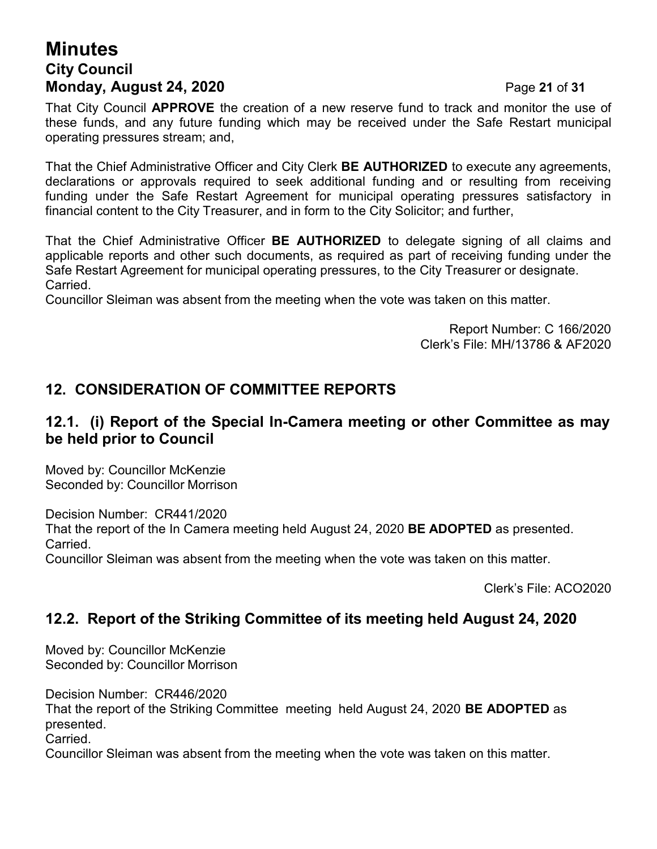# **Minutes City Council Monday, August 24, 2020** Page **21** of **31**

That City Council **APPROVE** the creation of a new reserve fund to track and monitor the use of these funds, and any future funding which may be received under the Safe Restart municipal operating pressures stream; and,

That the Chief Administrative Officer and City Clerk **BE AUTHORIZED** to execute any agreements, declarations or approvals required to seek additional funding and or resulting from receiving funding under the Safe Restart Agreement for municipal operating pressures satisfactory in financial content to the City Treasurer, and in form to the City Solicitor; and further,

That the Chief Administrative Officer **BE AUTHORIZED** to delegate signing of all claims and applicable reports and other such documents, as required as part of receiving funding under the Safe Restart Agreement for municipal operating pressures, to the City Treasurer or designate. Carried.

Councillor Sleiman was absent from the meeting when the vote was taken on this matter.

Report Number: C 166/2020 Clerk's File: MH/13786 & AF2020

## **12. CONSIDERATION OF COMMITTEE REPORTS**

## **12.1. (i) Report of the Special In-Camera meeting or other Committee as may be held prior to Council**

Moved by: Councillor McKenzie Seconded by: Councillor Morrison

Decision Number: CR441/2020 That the report of the In Camera meeting held August 24, 2020 **BE ADOPTED** as presented. Carried.

Councillor Sleiman was absent from the meeting when the vote was taken on this matter.

Clerk's File: ACO2020

## **12.2. Report of the Striking Committee of its meeting held August 24, 2020**

Moved by: Councillor McKenzie Seconded by: Councillor Morrison

Decision Number: CR446/2020 That the report of the Striking Committee meeting held August 24, 2020 **BE ADOPTED** as

presented. Carried.

Councillor Sleiman was absent from the meeting when the vote was taken on this matter.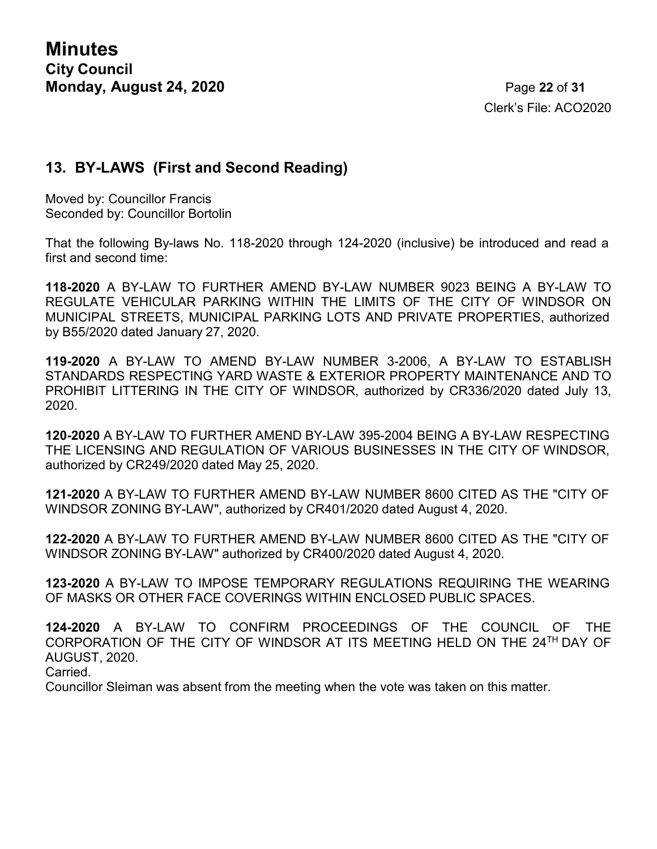Clerk's File: ACO2020

## **13. BY-LAWS (First and Second Reading)**

Moved by: Councillor Francis Seconded by: Councillor Bortolin

That the following By-laws No. 118-2020 through 124-2020 (inclusive) be introduced and read a first and second time:

**118-2020** A BY-LAW TO FURTHER AMEND BY-LAW NUMBER 9023 BEING A BY-LAW TO REGULATE VEHICULAR PARKING WITHIN THE LIMITS OF THE CITY OF WINDSOR ON MUNICIPAL STREETS, MUNICIPAL PARKING LOTS AND PRIVATE PROPERTIES, authorized by B55/2020 dated January 27, 2020.

**119-2020** A BY-LAW TO AMEND BY-LAW NUMBER 3-2006, A BY-LAW TO ESTABLISH STANDARDS RESPECTING YARD WASTE & EXTERIOR PROPERTY MAINTENANCE AND TO PROHIBIT LITTERING IN THE CITY OF WINDSOR, authorized by CR336/2020 dated July 13, 2020.

**120-2020** A BY-LAW TO FURTHER AMEND BY-LAW 395-2004 BEING A BY-LAW RESPECTING THE LICENSING AND REGULATION OF VARIOUS BUSINESSES IN THE CITY OF WINDSOR, authorized by CR249/2020 dated May 25, 2020.

**121-2020** A BY-LAW TO FURTHER AMEND BY-LAW NUMBER 8600 CITED AS THE "CITY OF WINDSOR ZONING BY-LAW", authorized by CR401/2020 dated August 4, 2020.

**122-2020** A BY-LAW TO FURTHER AMEND BY-LAW NUMBER 8600 CITED AS THE "CITY OF WINDSOR ZONING BY-LAW" authorized by CR400/2020 dated August 4, 2020.

**123-2020** A BY-LAW TO IMPOSE TEMPORARY REGULATIONS REQUIRING THE WEARING OF MASKS OR OTHER FACE COVERINGS WITHIN ENCLOSED PUBLIC SPACES.

**124-2020** A BY-LAW TO CONFIRM PROCEEDINGS OF THE COUNCIL OF THE CORPORATION OF THE CITY OF WINDSOR AT ITS MEETING HELD ON THE 24TH DAY OF AUGUST, 2020.

Carried.

Councillor Sleiman was absent from the meeting when the vote was taken on this matter.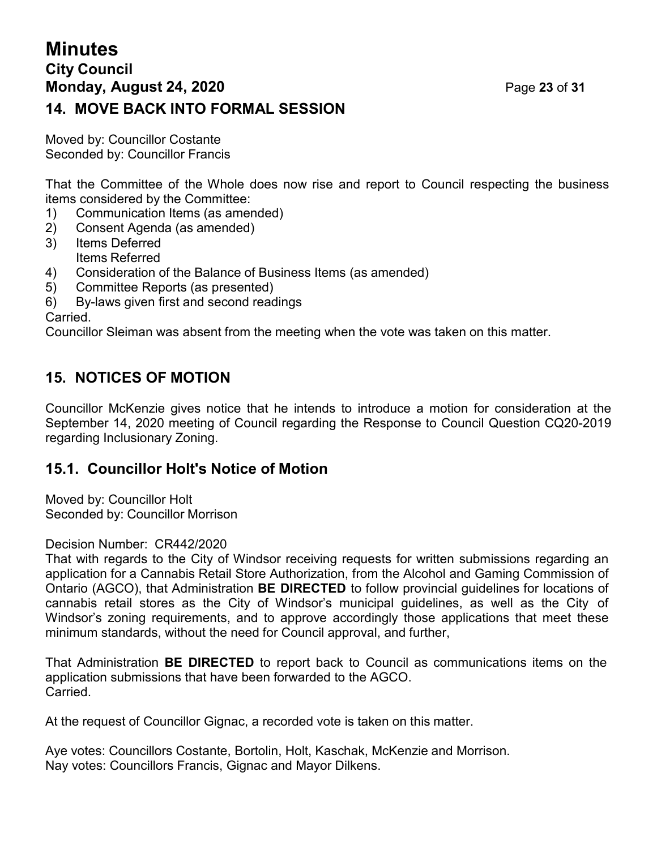# **Minutes City Council Monday, August 24, 2020** Page **23** of **31 14. MOVE BACK INTO FORMAL SESSION**

Moved by: Councillor Costante Seconded by: Councillor Francis

That the Committee of the Whole does now rise and report to Council respecting the business items considered by the Committee:

- 1) Communication Items (as amended)
- 2) Consent Agenda (as amended)
- 3) Items Deferred Items Referred
- 4) Consideration of the Balance of Business Items (as amended)
- 5) Committee Reports (as presented)
- 6) By-laws given first and second readings

Carried.

Councillor Sleiman was absent from the meeting when the vote was taken on this matter.

## **15. NOTICES OF MOTION**

Councillor McKenzie gives notice that he intends to introduce a motion for consideration at the September 14, 2020 meeting of Council regarding the Response to Council Question CQ20-2019 regarding Inclusionary Zoning.

## **15.1. Councillor Holt's Notice of Motion**

Moved by: Councillor Holt Seconded by: Councillor Morrison

Decision Number: CR442/2020

That with regards to the City of Windsor receiving requests for written submissions regarding an application for a Cannabis Retail Store Authorization, from the Alcohol and Gaming Commission of Ontario (AGCO), that Administration **BE DIRECTED** to follow provincial guidelines for locations of cannabis retail stores as the City of Windsor's municipal guidelines, as well as the City of Windsor's zoning requirements, and to approve accordingly those applications that meet these minimum standards, without the need for Council approval, and further,

That Administration **BE DIRECTED** to report back to Council as communications items on the application submissions that have been forwarded to the AGCO. Carried.

At the request of Councillor Gignac, a recorded vote is taken on this matter.

Aye votes: Councillors Costante, Bortolin, Holt, Kaschak, McKenzie and Morrison. Nay votes: Councillors Francis, Gignac and Mayor Dilkens.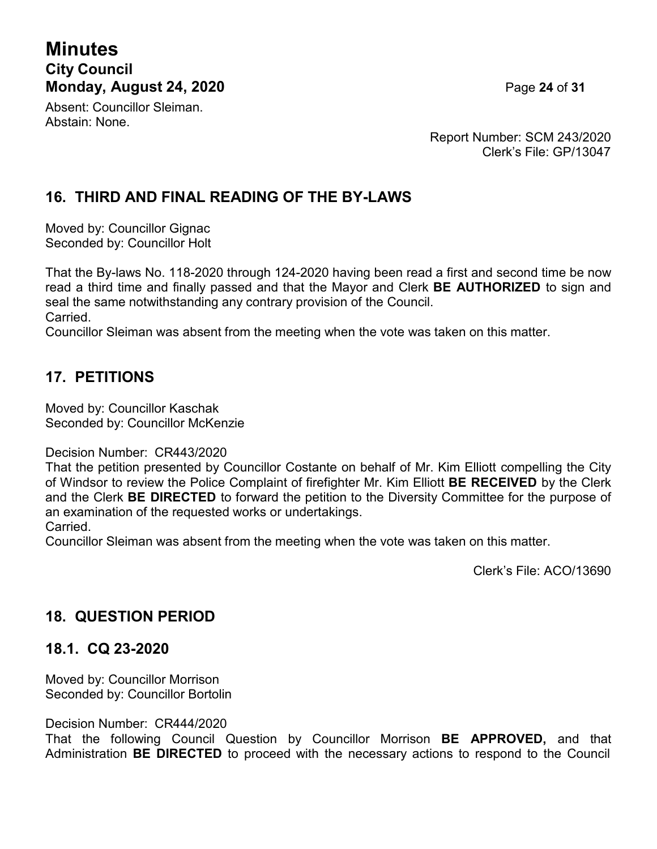# **Minutes City Council Monday, August 24, 2020** Page **24** of **31**

Absent: Councillor Sleiman. Abstain: None.

Report Number: SCM 243/2020 Clerk's File: GP/13047

# **16. THIRD AND FINAL READING OF THE BY-LAWS**

Moved by: Councillor Gignac Seconded by: Councillor Holt

That the By-laws No. 118-2020 through 124-2020 having been read a first and second time be now read a third time and finally passed and that the Mayor and Clerk **BE AUTHORIZED** to sign and seal the same notwithstanding any contrary provision of the Council. Carried.

Councillor Sleiman was absent from the meeting when the vote was taken on this matter.

# **17. PETITIONS**

Moved by: Councillor Kaschak Seconded by: Councillor McKenzie

#### Decision Number: CR443/2020

That the petition presented by Councillor Costante on behalf of Mr. Kim Elliott compelling the City of Windsor to review the Police Complaint of firefighter Mr. Kim Elliott **BE RECEIVED** by the Clerk and the Clerk **BE DIRECTED** to forward the petition to the Diversity Committee for the purpose of an examination of the requested works or undertakings.

Carried.

Councillor Sleiman was absent from the meeting when the vote was taken on this matter.

Clerk's File: ACO/13690

## **18. QUESTION PERIOD**

## **18.1. CQ 23-2020**

Moved by: Councillor Morrison Seconded by: Councillor Bortolin

Decision Number: CR444/2020

That the following Council Question by Councillor Morrison **BE APPROVED,** and that Administration **BE DIRECTED** to proceed with the necessary actions to respond to the Council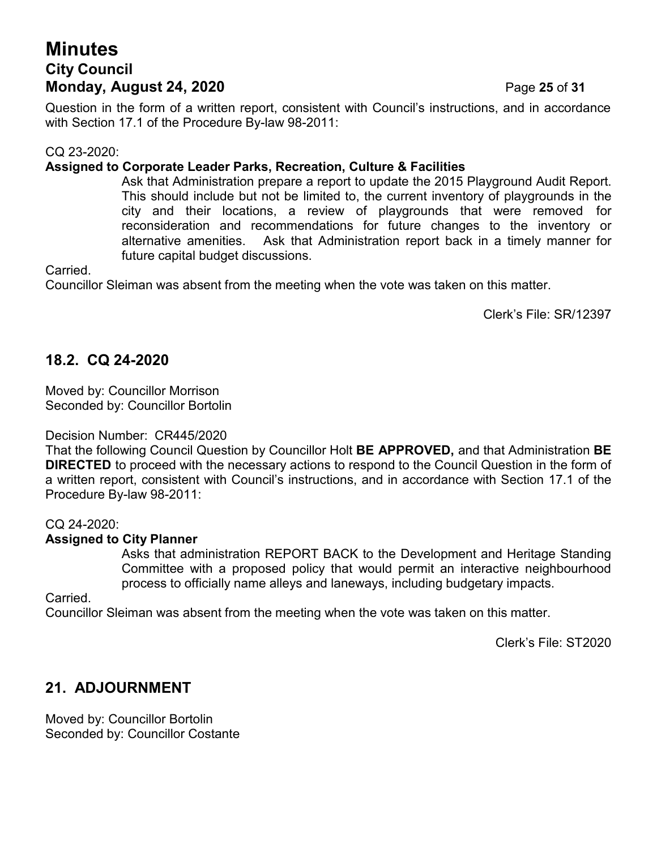# **Minutes City Council Monday, August 24, 2020** Page **25** of **31**

Question in the form of a written report, consistent with Council's instructions, and in accordance with Section 17.1 of the Procedure By-law 98-2011:

#### CQ 23-2020:

#### **Assigned to Corporate Leader Parks, Recreation, Culture & Facilities**

Ask that Administration prepare a report to update the 2015 Playground Audit Report. This should include but not be limited to, the current inventory of playgrounds in the city and their locations, a review of playgrounds that were removed for reconsideration and recommendations for future changes to the inventory or alternative amenities. Ask that Administration report back in a timely manner for future capital budget discussions.

Carried.

Councillor Sleiman was absent from the meeting when the vote was taken on this matter.

Clerk's File: SR/12397

### **18.2. CQ 24-2020**

Moved by: Councillor Morrison Seconded by: Councillor Bortolin

Decision Number: CR445/2020

That the following Council Question by Councillor Holt **BE APPROVED,** and that Administration **BE DIRECTED** to proceed with the necessary actions to respond to the Council Question in the form of a written report, consistent with Council's instructions, and in accordance with Section 17.1 of the Procedure By-law 98-2011:

#### CQ 24-2020:

#### **Assigned to City Planner**

Asks that administration REPORT BACK to the Development and Heritage Standing Committee with a proposed policy that would permit an interactive neighbourhood process to officially name alleys and laneways, including budgetary impacts.

Carried.

Councillor Sleiman was absent from the meeting when the vote was taken on this matter.

Clerk's File: ST2020

# **21. ADJOURNMENT**

Moved by: Councillor Bortolin Seconded by: Councillor Costante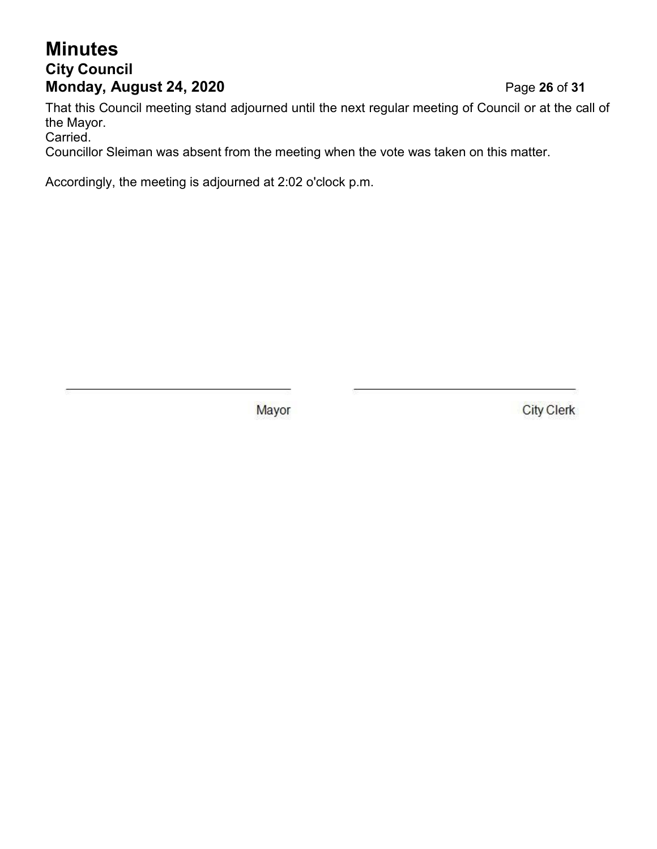# **Minutes City Council Monday, August 24, 2020** Page **26** of **31**

That this Council meeting stand adjourned until the next regular meeting of Council or at the call of the Mayor.

Carried.

Councillor Sleiman was absent from the meeting when the vote was taken on this matter.

Accordingly, the meeting is adjourned at 2:02 o'clock p.m.

Mayor

**City Clerk**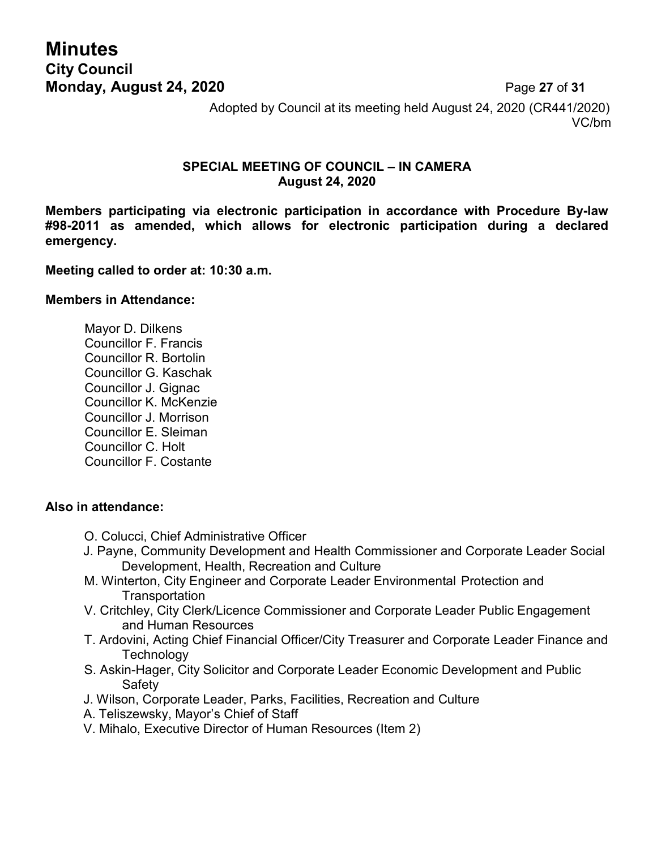# **Minutes City Council Monday, August 24, 2020** Page **27** of **31**

Adopted by Council at its meeting held August 24, 2020 (CR441/2020) VC/bm

#### **SPECIAL MEETING OF COUNCIL – IN CAMERA August 24, 2020**

**Members participating via electronic participation in accordance with Procedure By-law #98-2011 as amended, which allows for electronic participation during a declared emergency.**

#### **Meeting called to order at: 10:30 a.m.**

#### **Members in Attendance:**

Mayor D. Dilkens Councillor F. Francis Councillor R. Bortolin Councillor G. Kaschak Councillor J. Gignac Councillor K. McKenzie Councillor J. Morrison Councillor E. Sleiman Councillor C. Holt Councillor F. Costante

#### **Also in attendance:**

- O. Colucci, Chief Administrative Officer
- J. Payne, Community Development and Health Commissioner and Corporate Leader Social Development, Health, Recreation and Culture
- M. Winterton, City Engineer and Corporate Leader Environmental Protection and **Transportation**
- V. Critchley, City Clerk/Licence Commissioner and Corporate Leader Public Engagement and Human Resources
- T. Ardovini, Acting Chief Financial Officer/City Treasurer and Corporate Leader Finance and **Technology**
- S. Askin-Hager, City Solicitor and Corporate Leader Economic Development and Public **Safety**
- J. Wilson, Corporate Leader, Parks, Facilities, Recreation and Culture
- A. Teliszewsky, Mayor's Chief of Staff
- V. Mihalo, Executive Director of Human Resources (Item 2)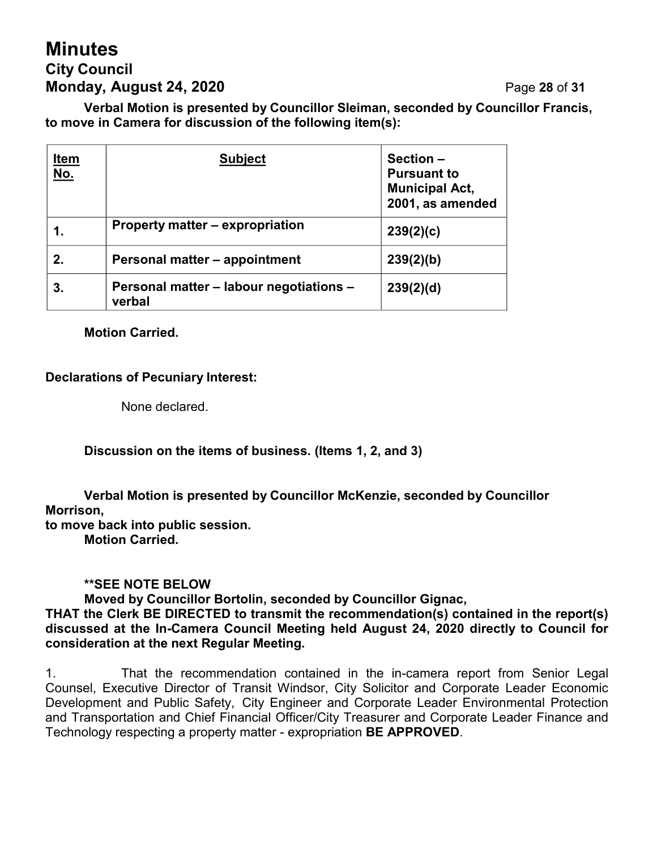# **Minutes City Council Monday, August 24, 2020 Page 28 of 31**

**Verbal Motion is presented by Councillor Sleiman, seconded by Councillor Francis, to move in Camera for discussion of the following item(s):**

| <u>Item</u><br><u>No.</u> | <b>Subject</b>                                    | Section-<br><b>Pursuant to</b><br><b>Municipal Act,</b><br>2001, as amended |
|---------------------------|---------------------------------------------------|-----------------------------------------------------------------------------|
| 1.                        | Property matter – expropriation                   | 239(2)(c)                                                                   |
| 2.                        | Personal matter - appointment                     | 239(2)(b)                                                                   |
| З.                        | Personal matter - labour negotiations -<br>verbal | 239(2)(d)                                                                   |

#### **Motion Carried.**

#### **Declarations of Pecuniary Interest:**

None declared.

**Discussion on the items of business. (Items 1, 2, and 3)**

**Verbal Motion is presented by Councillor McKenzie, seconded by Councillor Morrison,**

**to move back into public session. Motion Carried.**

#### **\*\*SEE NOTE BELOW**

**Moved by Councillor Bortolin, seconded by Councillor Gignac,**

**THAT the Clerk BE DIRECTED to transmit the recommendation(s) contained in the report(s) discussed at the In-Camera Council Meeting held August 24, 2020 directly to Council for consideration at the next Regular Meeting.**

1. That the recommendation contained in the in-camera report from Senior Legal Counsel, Executive Director of Transit Windsor, City Solicitor and Corporate Leader Economic Development and Public Safety, City Engineer and Corporate Leader Environmental Protection and Transportation and Chief Financial Officer/City Treasurer and Corporate Leader Finance and Technology respecting a property matter - expropriation **BE APPROVED**.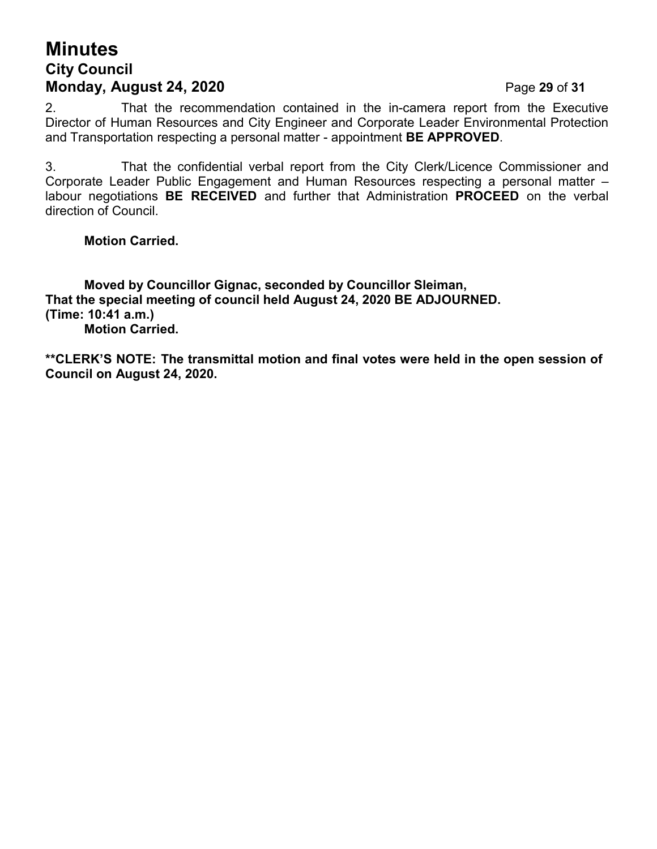# **Minutes City Council Monday, August 24, 2020 Page 29 of 31**

2. That the recommendation contained in the in-camera report from the Executive Director of Human Resources and City Engineer and Corporate Leader Environmental Protection and Transportation respecting a personal matter - appointment **BE APPROVED**.

3. That the confidential verbal report from the City Clerk/Licence Commissioner and Corporate Leader Public Engagement and Human Resources respecting a personal matter – labour negotiations **BE RECEIVED** and further that Administration **PROCEED** on the verbal direction of Council.

### **Motion Carried.**

**Moved by Councillor Gignac, seconded by Councillor Sleiman, That the special meeting of council held August 24, 2020 BE ADJOURNED. (Time: 10:41 a.m.) Motion Carried.**

**\*\*CLERK'S NOTE: The transmittal motion and final votes were held in the open session of Council on August 24, 2020.**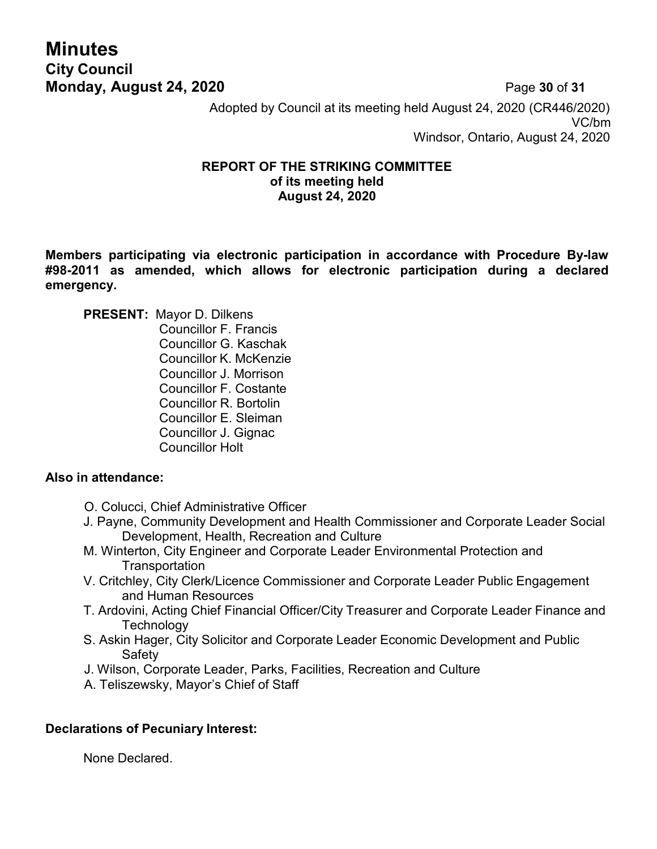# **Minutes City Council Monday, August 24, 2020 Page 30 of 31**

Adopted by Council at its meeting held August 24, 2020 (CR446/2020) VC/bm Windsor, Ontario, August 24, 2020

#### **REPORT OF THE STRIKING COMMITTEE of its meeting held August 24, 2020**

**Members participating via electronic participation in accordance with Procedure By-law #98-2011 as amended, which allows for electronic participation during a declared emergency.**

**PRESENT:** Mayor D. Dilkens

Councillor F. Francis Councillor G. Kaschak Councillor K. McKenzie Councillor J. Morrison Councillor F. Costante Councillor R. Bortolin Councillor E. Sleiman Councillor J. Gignac Councillor Holt

### **Also in attendance:**

- O. Colucci, Chief Administrative Officer
- J. Payne, Community Development and Health Commissioner and Corporate Leader Social Development, Health, Recreation and Culture
- M. Winterton, City Engineer and Corporate Leader Environmental Protection and **Transportation**
- V. Critchley, City Clerk/Licence Commissioner and Corporate Leader Public Engagement and Human Resources
- T. Ardovini, Acting Chief Financial Officer/City Treasurer and Corporate Leader Finance and **Technology**
- S. Askin Hager, City Solicitor and Corporate Leader Economic Development and Public Safety
- J. Wilson, Corporate Leader, Parks, Facilities, Recreation and Culture
- A. Teliszewsky, Mayor's Chief of Staff

## **Declarations of Pecuniary Interest:**

None Declared.